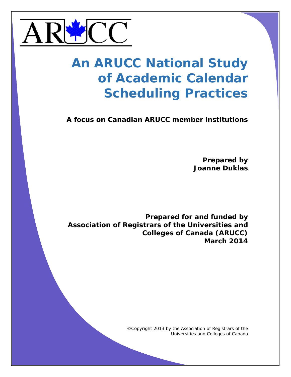

# **An ARUCC National Study of Academic Calendar Scheduling Practices**

**A focus on Canadian ARUCC member institutions**

**Prepared by Joanne Duklas**

**Prepared for and funded by Association of Registrars of the Universities and Colleges of Canada (ARUCC) March 2014**

> ©Copyright 2013 by the Association of Registrars of the Universities and Colleges of Canada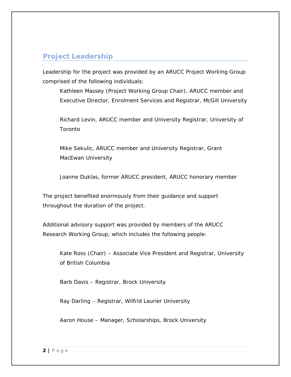# <span id="page-1-0"></span>**Project Leadership**

Leadership for the project was provided by an ARUCC Project Working Group comprised of the following individuals:

Kathleen Massey (Project Working Group Chair), ARUCC member and Executive Director, Enrolment Services and Registrar, McGill University

Richard Levin, ARUCC member and University Registrar, University of Toronto

Mike Sekulic, ARUCC member and University Registrar, Grant MacEwan University

Joanne Duklas, former ARUCC president, ARUCC honorary member

The project benefited enormously from their guidance and support throughout the duration of the project.

Additional advisory support was provided by members of the ARUCC Research Working Group, which includes the following people:

Kate Ross (Chair) – Associate Vice President and Registrar, University of British Columbia

Barb Davis – Registrar, Brock University

Ray Darling – Registrar, Wilfrid Laurier University

Aaron House – Manager, Scholarships, Brock University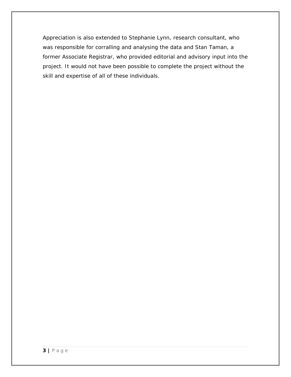Appreciation is also extended to Stephanie Lynn, research consultant, who was responsible for corralling and analysing the data and Stan Taman, a former Associate Registrar, who provided editorial and advisory input into the project. It would not have been possible to complete the project without the skill and expertise of all of these individuals.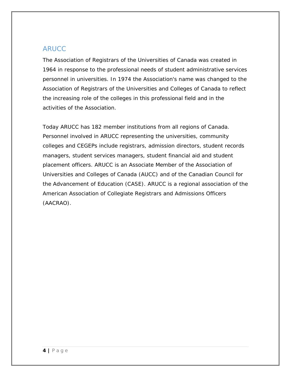## <span id="page-3-0"></span>ARUCC

The Association of Registrars of the Universities of Canada was created in 1964 in response to the professional needs of student administrative services personnel in universities. In 1974 the Association's name was changed to the Association of Registrars of the Universities and Colleges of Canada to reflect the increasing role of the colleges in this professional field and in the activities of the Association.

Today ARUCC has 182 member institutions from all regions of Canada. Personnel involved in ARUCC representing the universities, community colleges and CEGEPs include registrars, admission directors, student records managers, student services managers, student financial aid and student placement officers. ARUCC is an Associate Member of the Association of Universities and Colleges of Canada (AUCC) and of the Canadian Council for the Advancement of Education (CASE). ARUCC is a regional association of the American Association of Collegiate Registrars and Admissions Officers (AACRAO).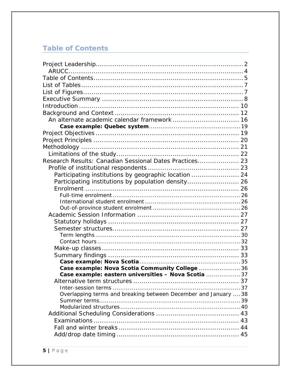# <span id="page-4-0"></span>**Table of Contents**

| Research Results: Canadian Sessional Dates Practices 23         |  |
|-----------------------------------------------------------------|--|
|                                                                 |  |
| Participating institutions by geographic location  24           |  |
| Participating institutions by population density 26             |  |
|                                                                 |  |
|                                                                 |  |
|                                                                 |  |
|                                                                 |  |
|                                                                 |  |
|                                                                 |  |
|                                                                 |  |
|                                                                 |  |
|                                                                 |  |
|                                                                 |  |
|                                                                 |  |
|                                                                 |  |
| Case example: Nova Scotia Community College 36                  |  |
| Case example: eastern universities - Nova Scotia 37             |  |
|                                                                 |  |
|                                                                 |  |
| Overlapping terms and breaking between December and January  38 |  |
|                                                                 |  |
|                                                                 |  |
|                                                                 |  |
|                                                                 |  |
|                                                                 |  |
|                                                                 |  |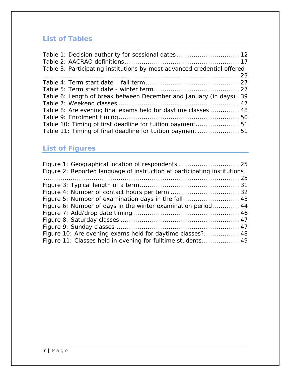# <span id="page-6-0"></span>**List of Tables**

| Table 1: Decision authority for sessional dates  12                     |  |
|-------------------------------------------------------------------------|--|
|                                                                         |  |
| Table 3: Participating institutions by most advanced credential offered |  |
|                                                                         |  |
|                                                                         |  |
|                                                                         |  |
| Table 6: Length of break between December and January (in days). 39     |  |
|                                                                         |  |
| Table 8: Are evening final exams held for daytime classes  48           |  |
|                                                                         |  |
| Table 10: Timing of first deadline for tuition payment 51               |  |
| Table 11: Timing of final deadline for tuition payment  51              |  |

# <span id="page-6-1"></span>**List of Figures**

| Figure 2: Reported language of instruction at participating institutions |  |
|--------------------------------------------------------------------------|--|
|                                                                          |  |
|                                                                          |  |
|                                                                          |  |
| Figure 5: Number of examination days in the fall 43                      |  |
| Figure 6: Number of days in the winter examination period 44             |  |
|                                                                          |  |
|                                                                          |  |
|                                                                          |  |
| Figure 10: Are evening exams held for daytime classes? 48                |  |
| Figure 11: Classes held in evening for fulltime students 49              |  |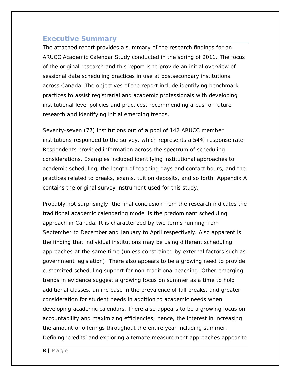## <span id="page-7-0"></span>**Executive Summary**

The attached report provides a summary of the research findings for an ARUCC Academic Calendar Study conducted in the spring of 2011. The focus of the original research and this report is to provide an initial overview of sessional date scheduling practices in use at postsecondary institutions across Canada. The objectives of the report include identifying benchmark practices to assist registrarial and academic professionals with developing institutional level policies and practices, recommending areas for future research and identifying initial emerging trends.

Seventy-seven (77) institutions out of a pool of 142 ARUCC member institutions responded to the survey, which represents a 54% response rate. Respondents provided information across the spectrum of scheduling considerations. Examples included identifying institutional approaches to academic scheduling, the length of teaching days and contact hours, and the practices related to breaks, exams, tuition deposits, and so forth. Appendix A contains the original survey instrument used for this study.

Probably not surprisingly, the final conclusion from the research indicates the traditional academic calendaring model is the predominant scheduling approach in Canada. It is characterized by two terms running from September to December and January to April respectively. Also apparent is the finding that individual institutions may be using different scheduling approaches at the same time (unless constrained by external factors such as government legislation). There also appears to be a growing need to provide customized scheduling support for non-traditional teaching. Other emerging trends in evidence suggest a growing focus on summer as a time to hold additional classes, an increase in the prevalence of fall breaks, and greater consideration for student needs in addition to academic needs when developing academic calendars. There also appears to be a growing focus on accountability and maximizing efficiencies; hence, the interest in increasing the amount of offerings throughout the entire year including summer. Defining 'credits' and exploring alternate measurement approaches appear to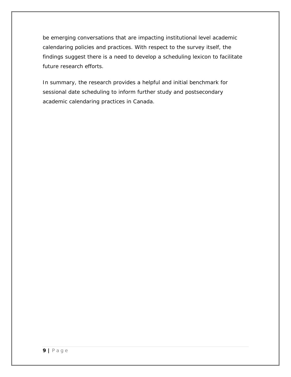be emerging conversations that are impacting institutional level academic calendaring policies and practices. With respect to the survey itself, the findings suggest there is a need to develop a scheduling lexicon to facilitate future research efforts.

In summary, the research provides a helpful and initial benchmark for sessional date scheduling to inform further study and postsecondary academic calendaring practices in Canada.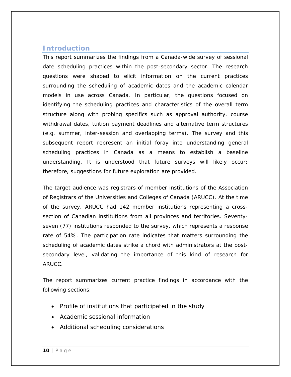## <span id="page-9-0"></span>**Introduction**

This report summarizes the findings from a Canada-wide survey of sessional date scheduling practices within the post-secondary sector. The research questions were shaped to elicit information on the current practices surrounding the scheduling of academic dates and the academic calendar models in use across Canada. In particular, the questions focused on identifying the scheduling practices and characteristics of the overall term structure along with probing specifics such as approval authority, course withdrawal dates, tuition payment deadlines and alternative term structures (e.g. summer, inter-session and overlapping terms). The survey and this subsequent report represent an initial foray into understanding general scheduling practices in Canada as a means to establish a baseline understanding. It is understood that future surveys will likely occur; therefore, suggestions for future exploration are provided.

The target audience was registrars of member institutions of the Association of Registrars of the Universities and Colleges of Canada (ARUCC). At the time of the survey, ARUCC had 142 member institutions representing a crosssection of Canadian institutions from all provinces and territories. Seventyseven (77) institutions responded to the survey, which represents a response rate of 54%. The participation rate indicates that matters surrounding the scheduling of academic dates strike a chord with administrators at the postsecondary level, validating the importance of this kind of research for ARUCC.

The report summarizes current practice findings in accordance with the following sections:

- Profile of institutions that participated in the study
- Academic sessional information
- Additional scheduling considerations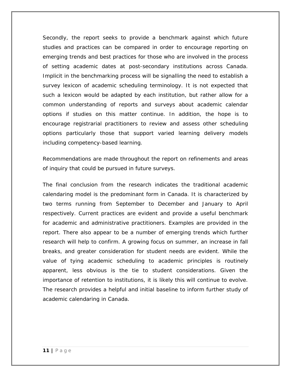Secondly, the report seeks to provide a benchmark against which future studies and practices can be compared in order to encourage reporting on emerging trends and best practices for those who are involved in the process of setting academic dates at post-secondary institutions across Canada. Implicit in the benchmarking process will be signalling the need to establish a survey lexicon of academic scheduling terminology. It is not expected that such a lexicon would be adapted by each institution, but rather allow for a common understanding of reports and surveys about academic calendar options if studies on this matter continue. In addition, the hope is to encourage registrarial practitioners to review and assess other scheduling options particularly those that support varied learning delivery models including competency-based learning.

Recommendations are made throughout the report on refinements and areas of inquiry that could be pursued in future surveys.

The final conclusion from the research indicates the traditional academic calendaring model is the predominant form in Canada. It is characterized by two terms running from September to December and January to April respectively. Current practices are evident and provide a useful benchmark for academic and administrative practitioners. Examples are provided in the report. There also appear to be a number of emerging trends which further research will help to confirm. A growing focus on summer, an increase in fall breaks, and greater consideration for student needs are evident. While the value of tying academic scheduling to academic principles is routinely apparent, less obvious is the tie to student considerations. Given the importance of retention to institutions, it is likely this will continue to evolve. The research provides a helpful and initial baseline to inform further study of academic calendaring in Canada.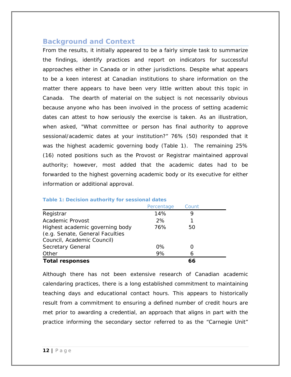## <span id="page-11-0"></span>**Background and Context**

From the results, it initially appeared to be a fairly simple task to summarize the findings, identify practices and report on indicators for successful approaches either in Canada or in other jurisdictions. Despite what appears to be a keen interest at Canadian institutions to share information on the matter there appears to have been very little written about this topic in Canada. The dearth of material on the subject is not necessarily obvious because anyone who has been involved in the process of setting academic dates can attest to how seriously the exercise is taken. As an illustration, when asked, "What committee or person has final authority to approve sessional/academic dates at your institution?" 76% (50) responded that it was the highest academic governing body (Table 1). The remaining 25% (16) noted positions such as the Provost or Registrar maintained approval authority; however, most added that the academic dates had to be forwarded to the highest governing academic body or its executive for either information or additional approval.

| TWATER TO BE COLORED WANTED THE TEST COOPDIGHT WATER                                             |            |       |  |
|--------------------------------------------------------------------------------------------------|------------|-------|--|
|                                                                                                  | Percentage | Count |  |
| Registrar                                                                                        | 14%        | 9     |  |
| Academic Provost                                                                                 | 2%         |       |  |
| Highest academic governing body<br>(e.g. Senate, General Faculties<br>Council, Academic Council) | 76%        | 50    |  |
| Secretary General                                                                                | 0%         |       |  |
| Other                                                                                            | 9%         | 6     |  |
| <b>Total responses</b>                                                                           |            | 66    |  |

#### <span id="page-11-1"></span>**Table 1: Decision authority for sessional dates**

Although there has not been extensive research of Canadian academic calendaring practices, there is a long established commitment to maintaining teaching days and educational contact hours. This appears to historically result from a commitment to ensuring a defined number of credit hours are met prior to awarding a credential, an approach that aligns in part with the practice informing the secondary sector referred to as the "Carnegie Unit"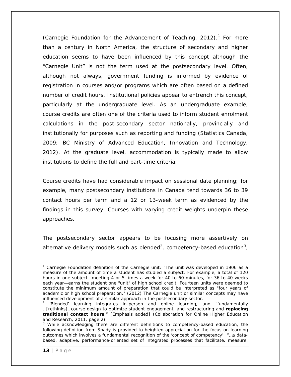(Carnegie Foundation for the Advancement of Teaching, 20[1](#page-12-0)2). $1$  For more than a century in North America, the structure of secondary and higher education seems to have been influenced by this concept although the "Carnegie Unit" is not the term used at the postsecondary level. Often, although not always, government funding is informed by evidence of registration in courses and/or programs which are often based on a defined number of credit hours. Institutional policies appear to entrench this concept, particularly at the undergraduate level. As an undergraduate example, course credits are often one of the criteria used to inform student enrolment calculations in the post-secondary sector nationally, provincially and institutionally for purposes such as reporting and funding (Statistics Canada, 2009; BC Ministry of Advanced Education, Innovation and Technology, 2012). At the graduate level, accommodation is typically made to allow institutions to define the full and part-time criteria.

Course credits have had considerable impact on sessional date planning; for example, many postsecondary institutions in Canada tend towards 36 to 39 contact hours per term and a 12 or 13-week term as evidenced by the findings in this survey. Courses with varying credit weights underpin these approaches.

The postsecondary sector appears to be focusing more assertively on alternative delivery models such as blended<sup>[2](#page-12-1)</sup>, competency-based education<sup>[3](#page-12-2)</sup>,

<span id="page-12-0"></span>l  $1$  Carnegie Foundation definition of the Carnegie unit: "The unit was developed in 1906 as a measure of the amount of time a student has studied a subject. For example, a total of 120 hours in one subject—meeting 4 or 5 times a week for 40 to 60 minutes, for 36 to 40 weeks each year—earns the student one "unit" of high school credit. Fourteen units were deemed to constitute the minimum amount of preparation that could be interpreted as "four years of academic or high school preparation." (2012) The Carnegie unit or similar concepts may have influenced development of a similar approach in the postsecondary sector.

<span id="page-12-1"></span><sup>&</sup>lt;sup>2</sup> 'Blended' learning integrates in-person and online learning, and "fundamentally …[rethinks]…course design to optimize student engagement, and restructuring and *replacing traditional contact hours*." [Emphasis added] (Collaboration for Online Higher Education and Research, 2011, page 2)

<span id="page-12-2"></span><sup>&</sup>lt;sup>3</sup> While acknowledging there are different definitions to competency-based education, the following definition from Spady is provided to heighten appreciation for the focus on learning outcomes which involves a fundamental recognition of the 'concept of competency': "…a databased, adaptive, performance-oriented set of integrated processes that facilitate, measure,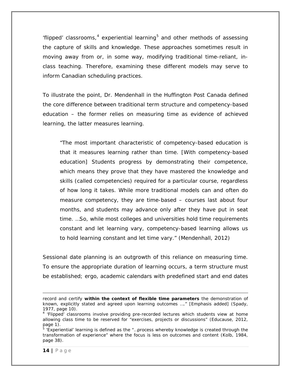'flipped' classrooms,  $4$  experiential learning<sup>[5](#page-13-1)</sup> and other methods of assessing the capture of skills and knowledge. These approaches sometimes result in moving away from or, in some way, modifying traditional time-reliant, inclass teaching. Therefore, examining these different models may serve to inform Canadian scheduling practices.

To illustrate the point, Dr. Mendenhall in the Huffington Post Canada defined the core difference between traditional term structure and competency-based education – the former relies on measuring time as evidence of achieved learning, the latter measures learning.

"The most important characteristic of competency-based education is that it measures learning rather than time. [With competency-based education] Students progress by demonstrating their competence, which means they prove that they have mastered the knowledge and skills (called competencies) required for a particular course, regardless of how long it takes. While more traditional models can and often do measure competency, they are time-based – courses last about four months, and students may advance only after they have put in seat time. …So, while most colleges and universities hold time requirements constant and let learning vary, competency-based learning allows us to hold learning constant and let time vary." (Mendenhall, 2012)

Sessional date planning is an outgrowth of this reliance on measuring time. To ensure the appropriate duration of learning occurs, a term structure must be established; ergo, academic calendars with predefined start and end dates

record and certify *within the context of flexible time parameters* the demonstration of known, explicitly stated and agreed upon learning outcomes …." [Emphasis added] (Spady, 1977, page 10).

<span id="page-13-0"></span><sup>4</sup> 'Flipped' classrooms involve providing pre-recorded lectures which students view at home allowing class time to be reserved for "exercises, projects or discussions" (Educause, 2012, page 1).

<span id="page-13-1"></span><sup>5</sup> 'Experiential' learning is defined as the "…process whereby knowledge is created through the transformation of experience" where the focus is less on outcomes and content (Kolb, 1984, page 38).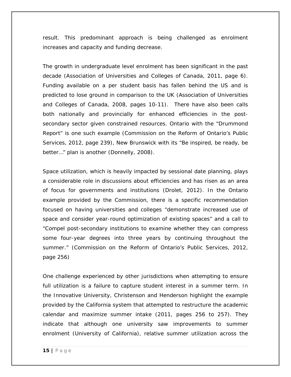result. This predominant approach is being challenged as enrolment increases and capacity and funding decrease.

The growth in undergraduate level enrolment has been significant in the past decade (Association of Universities and Colleges of Canada, 2011, page 6). Funding available on a per student basis has fallen behind the US and is predicted to lose ground in comparison to the UK (Association of Universities and Colleges of Canada, 2008, pages 10-11). There have also been calls both nationally and provincially for enhanced efficiencies in the postsecondary sector given constrained resources. Ontario with the "Drummond Report" is one such example (Commission on the Reform of Ontario's Public Services, 2012, page 239), New Brunswick with its "Be inspired, be ready, be better…" plan is another (Donnelly, 2008).

Space utilization, which is heavily impacted by sessional date planning, plays a considerable role in discussions about efficiencies and has risen as an area of focus for governments and institutions (Drolet, 2012). In the Ontario example provided by the Commission, there is a specific recommendation focused on having universities and colleges "demonstrate increased use of space and consider year-round optimization of existing spaces" and a call to "Compel post-secondary institutions to examine whether they can compress some four-year degrees into three years by continuing throughout the summer." (Commission on the Reform of Ontario's Public Services, 2012, page 256)

One challenge experienced by other jurisdictions when attempting to ensure full utilization is a failure to capture student interest in a summer term. In the *Innovative University*, Christenson and Henderson highlight the example provided by the California system that attempted to restructure the academic calendar and maximize summer intake (2011, pages 256 to 257). They indicate that although one university saw improvements to summer enrolment (University of California), relative summer utilization across the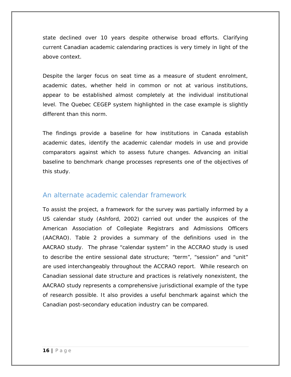state declined over 10 years despite otherwise broad efforts. Clarifying current Canadian academic calendaring practices is very timely in light of the above context.

Despite the larger focus on seat time as a measure of student enrolment, academic dates, whether held in common or not at various institutions, appear to be established almost completely at the individual institutional level. The Quebec CEGEP system highlighted in the case example is slightly different than this norm.

The findings provide a baseline for how institutions in Canada establish academic dates, identify the academic calendar models in use and provide comparators against which to assess future changes. Advancing an initial baseline to benchmark change processes represents one of the objectives of this study.

## <span id="page-15-0"></span>An alternate academic calendar framework

To assist the project, a framework for the survey was partially informed by a US calendar study (Ashford, 2002) carried out under the auspices of the American Association of Collegiate Registrars and Admissions Officers (AACRAO). Table 2 provides a summary of the definitions used in the AACRAO study. The phrase "calendar system" in the ACCRAO study is used to describe the entire sessional date structure; "term", "session" and "unit" are used interchangeably throughout the ACCRAO report. While research on Canadian sessional date structure and practices is relatively nonexistent, the AACRAO study represents a comprehensive jurisdictional example of the type of research possible. It also provides a useful benchmark against which the Canadian post-secondary education industry can be compared.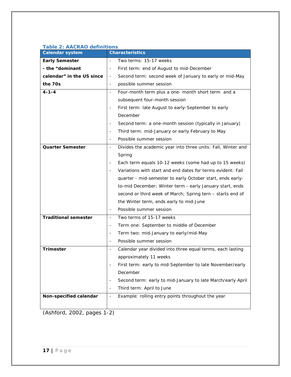| <b>Calendar system</b>      | <b>Characteristics</b>                                                            |
|-----------------------------|-----------------------------------------------------------------------------------|
| <b>Early Semester</b>       | Two terms: 15-17 weeks                                                            |
| - the "dominant             | First term: end of August to mid-December<br>$\qquad \qquad \blacksquare$         |
| calendar" in the US since   | Second term: second week of January to early or mid-May<br>$\blacksquare$         |
| the 70s                     | possible summer session<br>$\overline{\phantom{m}}$                               |
| $4 - 1 - 4$                 | Four-month term plus a one- month short term and a<br>$\overline{\phantom{a}}$    |
|                             | subsequent four-month session                                                     |
|                             | First term: late August to early-September to early<br>$\overline{\phantom{a}}$   |
|                             | December                                                                          |
|                             | Second term: a one-month session (typically in January)                           |
|                             | Third term: mid-January or early February to May<br>$\overline{a}$                |
|                             | Possible summer session<br>$\overline{\phantom{a}}$                               |
| <b>Quarter Semester</b>     | Divides the academic year into three units: Fall, Winter and<br>$\blacksquare$    |
|                             | Spring                                                                            |
|                             | Each term equals 10-12 weeks (some had up to 15 weeks)                            |
|                             | Variations with start and end dates for terms evident: Fall                       |
|                             | quarter - mid-semester to early October start, ends early-                        |
|                             | to-mid December; Winter term - early January start, ends                          |
|                             | second or third week of March; Spring tern - starts end of                        |
|                             | the Winter term, ends early to mid-June                                           |
|                             | Possible summer session<br>$\overline{a}$                                         |
| <b>Traditional semester</b> | Two terms of 15-17 weeks<br>$\blacksquare$                                        |
|                             | Term one: September to middle of December                                         |
|                             | Term two: mid-January to early/mid-May<br>$\overline{\phantom{a}}$                |
|                             | Possible summer session                                                           |
| <b>Trimester</b>            | Calendar year divided into three equal terms, each lasting<br>-                   |
|                             | approximately 11 weeks                                                            |
|                             | First term: early to mid-September to late November/early                         |
|                             | December                                                                          |
|                             | Second term: early to mid-January to late March/early April<br>$\overline{a}$     |
|                             | Third term: April to June<br>$\overline{\phantom{a}}$                             |
| Non-specified calendar      | Example: rolling entry points throughout the year<br>$\qquad \qquad \blacksquare$ |
|                             |                                                                                   |

#### <span id="page-16-0"></span>**Table 2: AACRAO definitions**

(Ashford, 2002, pages 1-2)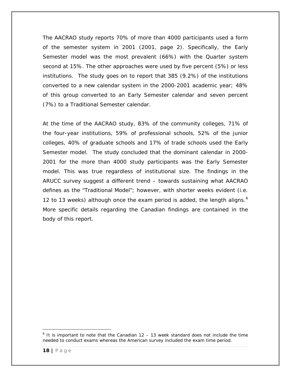The AACRAO study reports 70% of more than 4000 participants used a form of the semester system in 2001 (2001, page 2). Specifically, the Early Semester model was the most prevalent (66%) with the Quarter system second at 15%. The other approaches were used by five percent (5%) or less institutions. The study goes on to report that 385 (9.2%) of the institutions converted to a new calendar system in the 2000-2001 academic year; 48% of this group converted to an Early Semester calendar and seven percent (7%) to a Traditional Semester calendar.

At the time of the AACRAO study, 83% of the community colleges, 71% of the four-year institutions, 59% of professional schools, 52% of the junior colleges, 40% of graduate schools and 17% of trade schools used the Early Semester model. The study concluded that the dominant calendar in 2000- 2001 for the more than 4000 study participants was the Early Semester model. This was true regardless of institutional size. The findings in the ARUCC survey suggest a different trend – towards sustaining what AACRAO defines as the "Traditional Model"; however, with shorter weeks evident (i.e. 12 to 13 weeks) although once the exam period is added, the length aligns.<sup>[6](#page-17-0)</sup> More specific details regarding the Canadian findings are contained in the body of this report.

<span id="page-17-0"></span>l  $6$  It is important to note that the Canadian 12 – 13 week standard does not include the time needed to conduct exams whereas the American survey included the exam time period.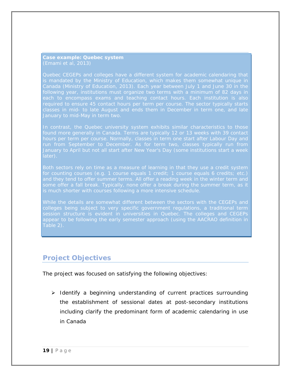<span id="page-18-0"></span>*Case example: Quebec system (Emami et al, 2013)*

*Canada (Ministry of Education, 2013). Each year between July 1 and June 30 in the required to ensure 45 contact hours per term per course. The sector typically starts* 

*In contrast, the Quebec university system exhibits similar characteristics to those run from September to December. As for term two, classes typically run from January to April but not all start after New Year's Day (some institutions start a week later).*

*While the details are somewhat different between the sectors with the CEGEPs and colleges being subject to very specific government regulations, a traditional term session structure is evident in universities in Quebec. The colleges and CEGEPs appear to be following the early semester approach (using the AACRAO definition in Table 2).*

## <span id="page-18-1"></span>**Project Objectives**

The project was focused on satisfying the following objectives:

 $\triangleright$  Identify a beginning understanding of current practices surrounding the establishment of sessional dates at post-secondary institutions including clarify the predominant form of academic calendaring in use in Canada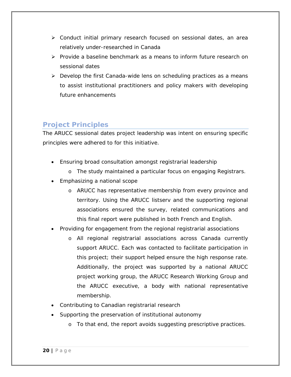- Conduct initial primary research focused on sessional dates, an area relatively under-researched in Canada
- $\triangleright$  Provide a baseline benchmark as a means to inform future research on sessional dates
- $\triangleright$  Develop the first Canada-wide lens on scheduling practices as a means to assist institutional practitioners and policy makers with developing future enhancements

## <span id="page-19-0"></span>**Project Principles**

The ARUCC sessional dates project leadership was intent on ensuring specific principles were adhered to for this initiative.

- Ensuring broad consultation amongst registrarial leadership
	- o The study maintained a particular focus on engaging Registrars.
- Emphasizing a national scope
	- o ARUCC has representative membership from every province and territory. Using the ARUCC listserv and the supporting regional associations ensured the survey, related communications and this final report were published in both French and English.
- Providing for engagement from the regional registrarial associations
	- o All regional registrarial associations across Canada currently support ARUCC. Each was contacted to facilitate participation in this project; their support helped ensure the high response rate. Additionally, the project was supported by a national ARUCC project working group, the ARUCC Research Working Group and the ARUCC executive, a body with national representative membership.
- Contributing to Canadian registrarial research
- Supporting the preservation of institutional autonomy
	- o To that end, the report avoids suggesting prescriptive practices.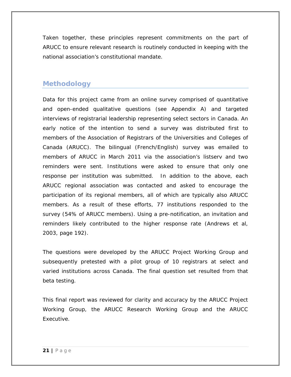Taken together, these principles represent commitments on the part of ARUCC to ensure relevant research is routinely conducted in keeping with the national association's constitutional mandate.

## <span id="page-20-0"></span>**Methodology**

Data for this project came from an online survey comprised of quantitative and open-ended qualitative questions (see Appendix A) and targeted interviews of registrarial leadership representing select sectors in Canada. An early notice of the intention to send a survey was distributed first to members of the Association of Registrars of the Universities and Colleges of Canada (ARUCC). The bilingual (French/English) survey was emailed to members of ARUCC in March 2011 via the association's listserv and two reminders were sent. Institutions were asked to ensure that only one response per institution was submitted. In addition to the above, each ARUCC regional association was contacted and asked to encourage the participation of its regional members, all of which are typically also ARUCC members. As a result of these efforts, 77 institutions responded to the survey (54% of ARUCC members). Using a pre-notification, an invitation and reminders likely contributed to the higher response rate (Andrews et al, 2003, page 192).

The questions were developed by the ARUCC Project Working Group and subsequently pretested with a pilot group of 10 registrars at select and varied institutions across Canada. The final question set resulted from that beta testing.

This final report was reviewed for clarity and accuracy by the ARUCC Project Working Group, the ARUCC Research Working Group and the ARUCC Executive.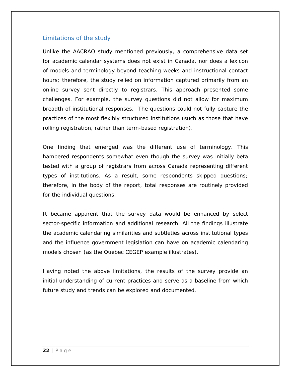#### <span id="page-21-0"></span>Limitations of the study

Unlike the AACRAO study mentioned previously, a comprehensive data set for academic calendar systems does not exist in Canada, nor does a lexicon of models and terminology beyond teaching weeks and instructional contact hours; therefore, the study relied on information captured primarily from an online survey sent directly to registrars. This approach presented some challenges. For example, the survey questions did not allow for maximum breadth of institutional responses. The questions could not fully capture the practices of the most flexibly structured institutions (such as those that have rolling registration, rather than term-based registration).

One finding that emerged was the different use of terminology. This hampered respondents somewhat even though the survey was initially beta tested with a group of registrars from across Canada representing different types of institutions. As a result, some respondents skipped questions; therefore, in the body of the report, total responses are routinely provided for the individual questions.

It became apparent that the survey data would be enhanced by select sector-specific information and additional research. All the findings illustrate the academic calendaring similarities and subtleties across institutional types and the influence government legislation can have on academic calendaring models chosen (as the Quebec CEGEP example illustrates).

Having noted the above limitations, the results of the survey provide an initial understanding of current practices and serve as a baseline from which future study and trends can be explored and documented.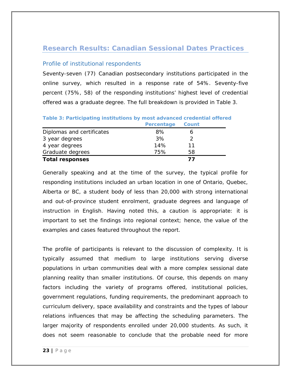## <span id="page-22-0"></span>**Research Results: Canadian Sessional Dates Practices**

### <span id="page-22-1"></span>Profile of institutional respondents

Seventy-seven (77) Canadian postsecondary institutions participated in the online survey, which resulted in a response rate of 54%. Seventy-five percent (75%, 58) of the responding institutions' highest level of credential offered was a graduate degree. The full breakdown is provided in Table 3.

|                           | Percentage | Count |
|---------------------------|------------|-------|
| Diplomas and certificates | 8%         |       |
| 3 year degrees            | 3%         |       |
| 4 year degrees            | 14%        | 11    |
| Graduate degrees          | 75%        | 58    |
| <b>Total responses</b>    |            | 77    |

## <span id="page-22-2"></span>**Table 3: Participating institutions by most advanced credential offered**

Generally speaking and at the time of the survey, the typical profile for responding institutions included an urban location in one of Ontario, Quebec, Alberta or BC, a student body of less than 20,000 with strong international and out-of-province student enrolment, graduate degrees and language of instruction in English. Having noted this, a caution is appropriate: it is important to set the findings into regional context; hence, the value of the examples and cases featured throughout the report.

The profile of participants is relevant to the discussion of complexity. It is typically assumed that medium to large institutions serving diverse populations in urban communities deal with a more complex sessional date planning reality than smaller institutions. Of course, this depends on many factors including the variety of programs offered, institutional policies, government regulations, funding requirements, the predominant approach to curriculum delivery, space availability and constraints and the types of labour relations influences that may be affecting the scheduling parameters. The larger majority of respondents enrolled under 20,000 students. As such, it does not seem reasonable to conclude that the probable need for more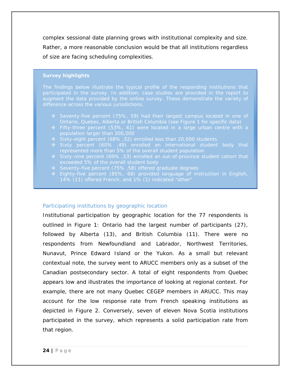complex sessional date planning grows with institutional complexity and size. Rather, a more reasonable conclusion would be that all institutions regardless of size are facing scheduling complexities.

#### *Survey highlights*

*The findings below illustrate the typical profile of the responding institutions that* 

- *Seventy-five percent (75%, 59) had their largest campus located in one of Ontario, Quebec, Alberta or British Columbia (see Figure 1 for specific data)*
- 
- 
- 
- 
- 
- *Eighty-five percent (85%, 68) provided language of instruction in English, 14% (11) offered French, and 1% (1) indicated "other"*

#### <span id="page-23-0"></span>Participating institutions by geographic location

Institutional participation by geographic location for the 77 respondents is outlined in Figure 1: Ontario had the largest number of participants (27), followed by Alberta (13), and British Columbia (11). There were no respondents from Newfoundland and Labrador, Northwest Territories, Nunavut, Prince Edward Island or the Yukon. As a small but relevant contextual note, the survey went to ARUCC members only as a subset of the Canadian postsecondary sector. A total of eight respondents from Quebec appears low and illustrates the importance of looking at regional context. For example, there are not many Quebec CEGEP members in ARUCC. This may account for the low response rate from French speaking institutions as depicted in Figure 2. Conversely, seven of eleven Nova Scotia institutions participated in the survey, which represents a solid participation rate from that region.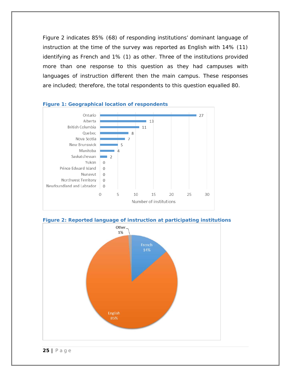Figure 2 indicates 85% (68) of responding institutions' dominant language of instruction at the time of the survey was reported as English with 14% (11) identifying as French and 1% (1) as other. Three of the institutions provided more than one response to this question as they had campuses with languages of instruction different then the main campus. These responses are included; therefore, the total respondents to this question equalled 80.



#### <span id="page-24-0"></span>**Figure 1: Geographical location of respondents**

<span id="page-24-1"></span>

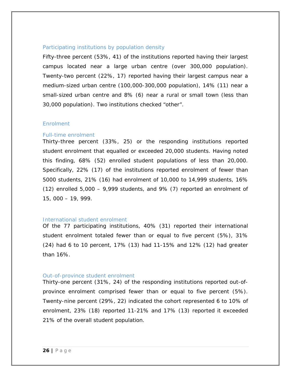#### <span id="page-25-0"></span>Participating institutions by population density

Fifty-three percent (53%, 41) of the institutions reported having their largest campus located near a large urban centre (over 300,000 population). Twenty-two percent (22%, 17) reported having their largest campus near a medium-sized urban centre (100,000-300,000 population), 14% (11) near a small-sized urban centre and 8% (6) near a rural or small town (less than 30,000 population). Two institutions checked "other".

#### <span id="page-25-1"></span>**Enrolment**

#### <span id="page-25-2"></span>Full-time enrolment

Thirty-three percent (33%, 25) or the responding institutions reported student enrolment that equalled or exceeded 20,000 students. Having noted this finding, 68% (52) enrolled student populations of less than 20,000. Specifically, 22% (17) of the institutions reported enrolment of fewer than 5000 students, 21% (16) had enrolment of 10,000 to 14,999 students, 16%  $(12)$  enrolled 5,000 – 9,999 students, and 9%  $(7)$  reported an enrolment of 15, 000 – 19, 999.

#### <span id="page-25-3"></span>International student enrolment

Of the 77 participating institutions, 40% (31) reported their international student enrolment totaled fewer than or equal to five percent (5%), 31% (24) had 6 to 10 percent, 17% (13) had 11-15% and 12% (12) had greater than 16%.

#### <span id="page-25-4"></span>Out-of-province student enrolment

Thirty-one percent (31%, 24) of the responding institutions reported out-ofprovince enrolment comprised fewer than or equal to five percent (5%). Twenty-nine percent (29%, 22) indicated the cohort represented 6 to 10% of enrolment, 23% (18) reported 11-21% and 17% (13) reported it exceeded 21% of the overall student population.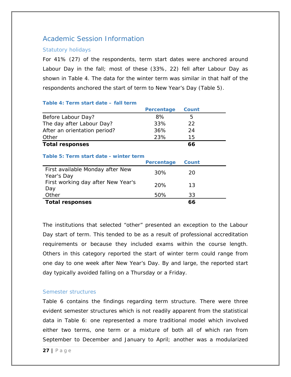## <span id="page-26-0"></span>Academic Session Information

#### <span id="page-26-1"></span>Statutory holidays

For 41% (27) of the respondents, term start dates were anchored around Labour Day in the fall; most of these (33%, 22) fell after Labour Day as shown in Table 4. The data for the winter term was similar in that half of the respondents anchored the start of term to New Year's Day (Table 5).

#### <span id="page-26-3"></span>**Table 4: Term start date – fall term**

<span id="page-26-4"></span>

|                                                | Percentage | Count |  |
|------------------------------------------------|------------|-------|--|
| Before Labour Day?                             | 8%         | 5     |  |
| The day after Labour Day?                      | 33%        | 22    |  |
| After an orientation period?                   | 36%        | 24    |  |
| Other                                          | 23%        | 15    |  |
| <b>Total responses</b>                         |            | 66    |  |
| Table 5: Term start date - winter term         | Percentage | Count |  |
| First available Monday after New<br>Year's Day | 30%        | 20    |  |
| First working day after New Year's<br>Day      | 20%        | 13    |  |
| Other                                          | 50%        | 33    |  |
| <b>Total responses</b>                         |            | 66    |  |

The institutions that selected "other" presented an exception to the Labour Day start of term. This tended to be as a result of professional accreditation requirements or because they included exams within the course length. Others in this category reported the start of winter term could range from one day to one week after New Year's Day. By and large, the reported start day typically avoided falling on a Thursday or a Friday.

#### <span id="page-26-2"></span>Semester structures

Table 6 contains the findings regarding term structure. There were three evident semester structures which is not readily apparent from the statistical data in Table 6: one represented a more traditional model which involved either two terms, one term or a mixture of both all of which ran from September to December and January to April; another was a modularized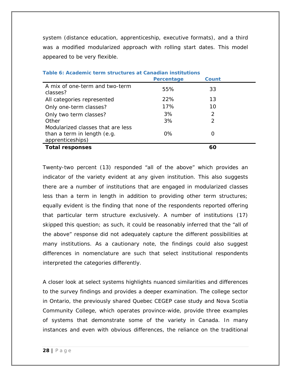system (distance education, apprenticeship, executive formats), and a third was a modified modularized approach with rolling start dates. This model appeared to be very flexible.

|                                            | Percentage | Count         |  |
|--------------------------------------------|------------|---------------|--|
| A mix of one-term and two-term<br>classes? | 55%        | 33            |  |
| All categories represented                 | 22%        | 13            |  |
| Only one-term classes?                     | 17%        | 10            |  |
| Only two term classes?                     | 3%         | $\mathcal{P}$ |  |
| Other                                      | 3%         | 2             |  |
| Modularized classes that are less          |            |               |  |
| than a term in length (e.g.                | 0%         |               |  |
| apprenticeships)                           |            |               |  |
| <b>Total responses</b>                     |            | 60            |  |

Twenty-two percent (13) responded "all of the above" which provides an indicator of the variety evident at any given institution. This also suggests there are a number of institutions that are engaged in modularized classes less than a term in length in addition to providing other term structures; equally evident is the finding that none of the respondents reported offering that particular term structure exclusively. A number of institutions (17) skipped this question; as such, it could be reasonably inferred that the "all of the above" response did not adequately capture the different possibilities at many institutions. As a cautionary note, the findings could also suggest differences in nomenclature are such that select institutional respondents interpreted the categories differently.

A closer look at select systems highlights nuanced similarities and differences to the survey findings and provides a deeper examination. The college sector in Ontario, the previously shared Quebec CEGEP case study and Nova Scotia Community College, which operates province-wide, provide three examples of systems that demonstrate some of the variety in Canada. In many instances and even with obvious differences, the reliance on the traditional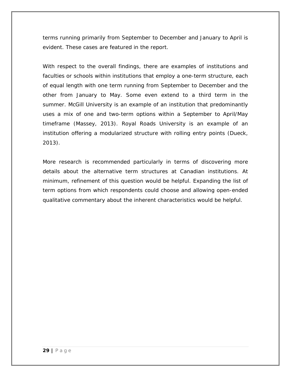terms running primarily from September to December and January to April is evident. These cases are featured in the report.

With respect to the overall findings, there are examples of institutions and faculties or schools within institutions that employ a one-term structure, each of equal length with one term running from September to December and the other from January to May. Some even extend to a third term in the summer. McGill University is an example of an institution that predominantly uses a mix of one and two-term options within a September to April/May timeframe (Massey, 2013). Royal Roads University is an example of an institution offering a modularized structure with rolling entry points (Dueck, 2013).

More research is recommended particularly in terms of discovering more details about the alternative term structures at Canadian institutions. At minimum, refinement of this question would be helpful. Expanding the list of term options from which respondents could choose and allowing open-ended qualitative commentary about the inherent characteristics would be helpful.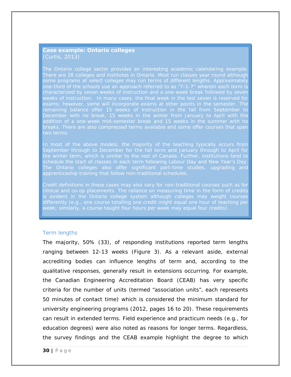#### *Case example: Ontario colleges (Curtis, 2013*)

*The Ontario college sector provides an interesting academic calendaring example. There are 28 colleges and institutes in Ontario. Most run classes year round although one-third of the schools use an approach referred to as "7-1-7" wherein each term is exams; however, some will incorporate exams at other points in the semester. The breaks. There are also compressed terms available and some offer courses that span* 

In most of the above models, the majority of the teaching typically occurs from *September through to December for the fall term and January through to April for schedule the start of classes in each term following Labour Day and New Year's Day. The Ontario colleges also offer significant part-time studies, upgrading and apprenticeship training that follow non-traditional schedules.* 

*is evident in the Ontario college system although colleges may weight courses differently (e.g., one course totalling one credit might equal one hour of teaching per week; similarly, a course taught four hours per week may equal four credits).* 

#### <span id="page-29-0"></span>Term lengths

The majority, 50% (33), of responding institutions reported term lengths ranging between 12-13 weeks (Figure 3). As a relevant aside, external accrediting bodies can influence lengths of term and, according to the qualitative responses, generally result in extensions occurring. For example, the Canadian Engineering Accreditation Board (CEAB) has very specific criteria for the number of units (termed "association units", each represents 50 minutes of contact time) which is considered the minimum standard for university engineering programs (2012, pages 16 to 20). These requirements can result in extended terms. Field experience and practicum needs (e.g., for education degrees) were also noted as reasons for longer terms. Regardless, the survey findings and the CEAB example highlight the degree to which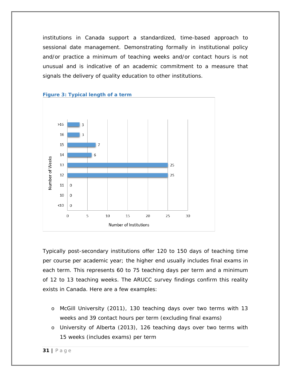institutions in Canada support a standardized, time-based approach to sessional date management. Demonstrating formally in institutional policy and/or practice a minimum of teaching weeks and/or contact hours is not unusual and is indicative of an academic commitment to a measure that signals the delivery of quality education to other institutions.

<span id="page-30-0"></span>

Typically post-secondary institutions offer 120 to 150 days of teaching time per course per academic year; the higher end usually includes final exams in each term. This represents 60 to 75 teaching days per term and a minimum of 12 to 13 teaching weeks. The ARUCC survey findings confirm this reality exists in Canada. Here are a few examples:

- o McGill University (2011), 130 teaching days over two terms with 13 weeks and 39 contact hours per term (excluding final exams)
- o University of Alberta (2013), 126 teaching days over two terms with 15 weeks (includes exams) per term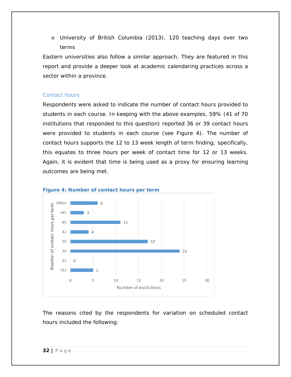o University of British Columbia (2013), 120 teaching days over two terms

Eastern universities also follow a similar approach. They are featured in this report and provide a deeper look at academic calendaring practices across a sector within a province.

#### <span id="page-31-0"></span>Contact hours

Respondents were asked to indicate the number of contact hours provided to students in each course. In keeping with the above examples, 59% (41 of 70 institutions that responded to this question) reported 36 or 39 contact hours were provided to students in each course (see Figure 4). The number of contact hours supports the 12 to 13 week length of term finding; specifically, this equates to three hours per week of contact time for 12 or 13 weeks. Again, it is evident that time is being used as a proxy for ensuring learning outcomes are being met.



<span id="page-31-1"></span>

The reasons cited by the respondents for variation on scheduled contact hours included the following: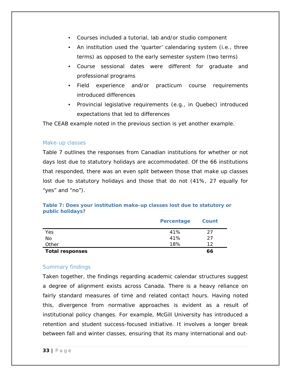- Courses included a tutorial, lab and/or studio component
- An institution used the 'quarter' calendaring system (i.e., three terms) as opposed to the early semester system (two terms)
- Course sessional dates were different for graduate and professional programs
- Field experience and/or practicum course requirements introduced differences
- Provincial legislative requirements (e.g., in Quebec) introduced expectations that led to differences

The CEAB example noted in the previous section is yet another example.

#### <span id="page-32-0"></span>Make-up classes

Table 7 outlines the responses from Canadian institutions for whether or not days lost due to statutory holidays are accommodated. Of the 66 institutions that responded, there was an even split between those that make up classes lost due to statutory holidays and those that do not (41%, 27 equally for "yes" and "no").

**Table 7: Does your institution make-up classes lost due to statutory or public holidays?**

|                        | Percentage | Count |
|------------------------|------------|-------|
| Yes                    | 41%        | 27    |
| No                     | 41%        | 27    |
| Other                  | 18%        | 1つ    |
| <b>Total responses</b> |            | 66    |

#### <span id="page-32-1"></span>Summary findings

Taken together, the findings regarding academic calendar structures suggest a degree of alignment exists across Canada. There is a heavy reliance on fairly standard measures of time and related contact hours. Having noted this, divergence from normative approaches is evident as a result of institutional policy changes. For example, McGill University has introduced a retention and student success-focused initiative. It involves a longer break between fall and winter classes, ensuring that its many international and out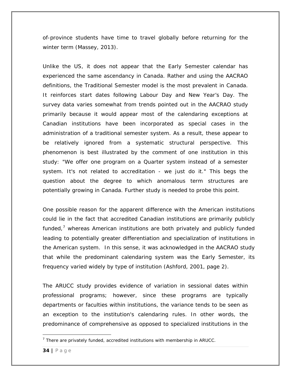of-province students have time to travel globally before returning for the winter term (Massey, 2013).

Unlike the US, it does not appear that the *Early Semester* calendar has experienced the same ascendancy in Canada. Rather and using the AACRAO definitions, the *Traditional Semester* model is the most prevalent in Canada. It reinforces start dates following Labour Day and New Year's Day. The survey data varies somewhat from trends pointed out in the AACRAO study primarily because it would appear most of the calendaring exceptions at Canadian institutions have been incorporated as special cases in the administration of a traditional semester system. As a result, these appear to be relatively ignored from a systematic structural perspective. This phenomenon is best illustrated by the comment of one institution in this study: "We offer one program on a Quarter system instead of a semester system. It's not related to accreditation - we just do it." This begs the question about the degree to which anomalous term structures are potentially growing in Canada. Further study is needed to probe this point.

One possible reason for the apparent difference with the American institutions could lie in the fact that accredited Canadian institutions are primarily publicly funded, $<sup>7</sup>$  $<sup>7</sup>$  $<sup>7</sup>$  whereas American institutions are both privately and publicly funded</sup> leading to potentially greater differentiation and specialization of institutions in the American system. In this sense, it was acknowledged in the AACRAO study that while the predominant calendaring system was the *Early Semester*, its frequency varied widely by type of institution (Ashford, 2001, page 2).

The ARUCC study provides evidence of variation in sessional dates within professional programs; however, since these programs are typically departments or faculties within institutions, the variance tends to be seen as an exception to the institution's calendaring rules. In other words, the predominance of comprehensive as opposed to specialized institutions in the

 $\overline{a}$ 

<span id="page-33-0"></span> $<sup>7</sup>$  There are privately funded, accredited institutions with membership in ARUCC.</sup>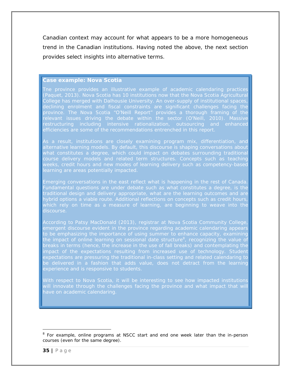Canadian context may account for what appears to be a more homogeneous trend in the Canadian institutions. Having noted the above, the next section provides select insights into alternative terms.

#### <span id="page-34-0"></span>*Case example: Nova Scotia*

*Tne province provides an illustrative example of academic calendaring practices (Paquet, 2013). Nova Scotia has 10 institutions now that the Nova Scotia Agricultural declining enrolment and fiscal constraints are significant challenges facing the restructuring including intensive rationalization, outsourcing and enhanced efficiencies are some of the recommendations entrenched in this report.* 

*alternative learning models. By default, this discourse is shaping conversations about*  course delivery models and related term structures. Concepts such as teaching *weeks, credit hours and new modes of learning delivery such as competency-based* 

*Emerging conversations in the east reflect what is happening in the rest of Canada.*  Fundamental questions are under debate such as what constitutes a degree, is the *traditional design and delivery appropriate, what are the learning outcomes and are hybrid options a viable route. Additional reflections on concepts such as credit hours,* 

*According to Patsy MacDonald (2013), registrar at Nova Scotia Community College,*  emergent discourse evident in the province regarding academic calendaring appear *to be emphasizing the importance of using summer to enhance capacity, examining the impact of online learning on sessional date structure[8](#page-34-1) , recognizing the value of impact of the expectations resulting from increased use of technology. Student expectations are pressuring the traditional in-class setting and related calendaring to*  be delivered in a fashion that adds value, does not detract from the learning *experience and is responsive to students.*

*With respect to Nova Scotia, it will be interesting to see how impacted institutions*  will innovate through the challenges facing the province and what impact that will *have on academic calendaring.*

<span id="page-34-1"></span>l <sup>8</sup> For example, online programs at NSCC start and end one week later than the in-person courses (even for the same degree).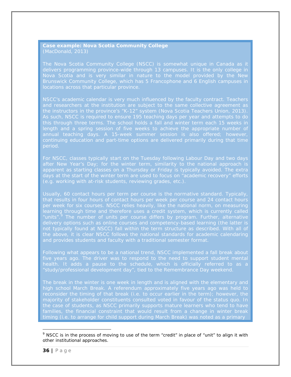<span id="page-35-0"></span>*Case example: Nova Scotia Community College (MacDonald, 2013)*

*The Nova Scotia Community College (NSCC) is somewhat unique in Canada as it delivers programming province-wide through 13 campuses. It is the only college in Brunswick Community College, which has 5 Francophone and 6 English campuses in locations across that particular province.* 

*As such, NSCC is required to ensure 195 teaching days per year and attempts to do this through three terms. The school holds a fall and winter term each 15 weeks in annual teaching days. A 15-week summer session is also offered; however, continuing education and part-time options are delivered primarily during that time period.*

*after New Year's Day; for the winter term, similarity to the national approach is*  apparent as starting classes on a Thursday or Friday is typically avoided. The extra *(e.g. working with at-risk students, reviewing grades, etc.).* 

*that results in four hours of contact hours per week per course and 24 contact hours*  learning through time and therefore uses a credit system, which is currently called *"units".[9](#page-35-1) The number of units per course differs by program. Further, alternative delivery options such as online courses and competency-based learning (the latter is and provides students and faculty with a traditional semester format.*

*Following what appears to be a national trend, NSCC implemented a fall break about*  five years ago. The driver was to respond to the need to support student mental *"study/professional development day", tied to the Remembrance Day weekend.* 

The break in the winter is one week in length and is aligned with the elementary and *high school March Break. A referendum approximately five years ago was held to*  families, the financial constraint that would result from a change in winter break *timing (i.e. to arrange for child support during March Break) was noted as a primary* 

l

<span id="page-35-1"></span><sup>&</sup>lt;sup>9</sup> NSCC is in the process of moving to use of the term "credit" in place of "unit" to align it with other institutional approaches.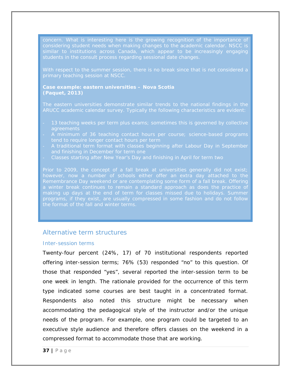*considering student needs when making changes to the academic calendar. NSCC is similar to institutions across Canada, which appear to be increasingly engaging* 

*Case example: eastern universities – Nova Scotia (Paquet, 2013)* 

*The eastern universities demonstrate similar trends to the national findings in the* 

- *agreements*
- *A minimum of 36 teaching contact hours per course; science-based programs tend to require longer contact hours per term*
- *A traditional term format with classes beginning after Labour Day in September and finishing in December for term one*
- *Classes starting after New Year's Day and finishing in April for term two*

*Remembrance Day weekend or are contemplating some form of a fall break. Offering a winter break continues to remain a standard approach as does the practice of the format of the fall and winter terms.*

#### Alternative term structures

#### Inter-session terms

Twenty-four percent (24%, 17) of 70 institutional respondents reported offering inter-session terms; 76% (53) responded "no" to this question. Of those that responded "yes", several reported the inter-session term to be one week in length. The rationale provided for the occurrence of this term type indicated some courses are best taught in a concentrated format. Respondents also noted this structure might be necessary when accommodating the pedagogical style of the instructor and/or the unique needs of the program. For example, one program could be targeted to an executive style audience and therefore offers classes on the weekend in a compressed format to accommodate those that are working.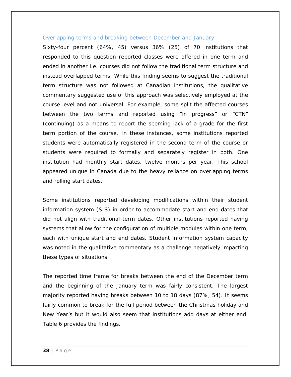#### Overlapping terms and breaking between December and January

Sixty-four percent (64%, 45) versus 36% (25) of 70 institutions that responded to this question reported classes were offered in one term and ended in another i.e. courses did not follow the traditional term structure and instead overlapped terms. While this finding seems to suggest the traditional term structure was not followed at Canadian institutions, the qualitative commentary suggested use of this approach was selectively employed at the course level and not universal. For example, some split the affected courses between the two terms and reported using "in progress" or "CTN" (continuing) as a means to report the seeming lack of a grade for the first term portion of the course. In these instances, some institutions reported students were automatically registered in the second term of the course or students were required to formally and separately register in both. One institution had monthly start dates, twelve months per year. This school appeared unique in Canada due to the heavy reliance on overlapping terms and rolling start dates.

Some institutions reported developing modifications within their student information system (SIS) in order to accommodate start and end dates that did not align with traditional term dates. Other institutions reported having systems that allow for the configuration of multiple modules within one term, each with unique start and end dates. Student information system capacity was noted in the qualitative commentary as a challenge negatively impacting these types of situations.

The reported time frame for breaks between the end of the December term and the beginning of the January term was fairly consistent. The largest majority reported having breaks between 10 to 18 days (87%, 54). It seems fairly common to break for the full period between the Christmas holiday and New Year's but it would also seem that institutions add days at either end. Table 6 provides the findings.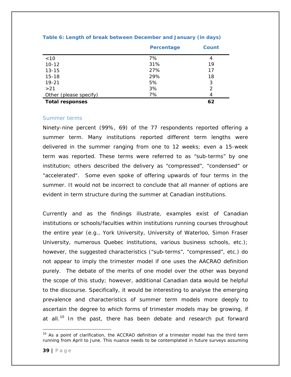|                        | Percentage | Count |
|------------------------|------------|-------|
| $<10$                  | 7%         | 4     |
| $10 - 12$              | 31%        | 19    |
| $13 - 15$              | 27%        | 17    |
| $15 - 18$              | 29%        | 18    |
| $19 - 21$              | 5%         | 3     |
| >21                    | 3%         | 2     |
| Other (please specify) | 7%         | 4     |
| <b>Total responses</b> |            | 62    |

#### **Table 6: Length of break between December and January (in days)**

#### Summer terms

Ninety-nine percent (99%, 69) of the 77 respondents reported offering a summer term. Many institutions reported different term lengths were delivered in the summer ranging from one to 12 weeks; even a 15-week term was reported. These terms were referred to as "sub-terms" by one institution; others described the delivery as "compressed", "condensed" or "accelerated". Some even spoke of offering upwards of four terms in the summer. It would not be incorrect to conclude that all manner of options are evident in term structure during the summer at Canadian institutions.

Currently and as the findings illustrate, examples exist of Canadian institutions or schools/faculties within institutions running courses throughout the entire year (e.g., York University, University of Waterloo, Simon Fraser University, numerous Quebec institutions, various business schools, etc.); however, the suggested characteristics ("sub-terms", "compressed", etc.) do not appear to imply the trimester model if one uses the AACRAO definition purely. The debate of the merits of one model over the other was beyond the scope of this study; however, additional Canadian data would be helpful to the discourse. Specifically, it would be interesting to analyse the emerging prevalence and characteristics of summer term models more deeply to ascertain the degree to which forms of trimester models may be growing, if at all.<sup>[10](#page-38-0)</sup> In the past, there has been debate and research put forward

l

<span id="page-38-0"></span> $10$  As a point of clarification, the ACCRAO definition of a trimester model has the third term running from April to June. This nuance needs to be contemplated in future surveys assuming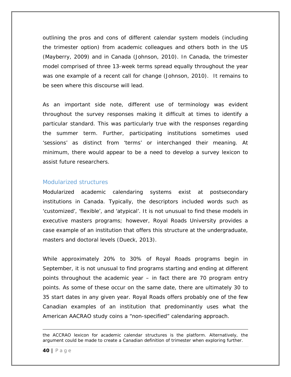outlining the pros and cons of different calendar system models (including the trimester option) from academic colleagues and others both in the US (Mayberry, 2009) and in Canada (Johnson, 2010). In Canada, the trimester model comprised of three 13-week terms spread equally throughout the year was one example of a recent call for change (Johnson, 2010). It remains to be seen where this discourse will lead.

As an important side note, different use of terminology was evident throughout the survey responses making it difficult at times to identify a particular standard. This was particularly true with the responses regarding the summer term. Further, participating institutions sometimes used 'sessions' as distinct from 'terms' or interchanged their meaning. At minimum, there would appear to be a need to develop a survey lexicon to assist future researchers.

#### Modularized structures

Modularized academic calendaring systems exist at postsecondary institutions in Canada. Typically, the descriptors included words such as 'customized', 'flexible', and 'atypical'. It is not unusual to find these models in executive masters programs; however, Royal Roads University provides a case example of an institution that offers this structure at the undergraduate, masters and doctoral levels (Dueck, 2013).

While approximately 20% to 30% of Royal Roads programs begin in September, it is not unusual to find programs starting and ending at different points throughout the academic year – in fact there are 70 program entry points. As some of these occur on the same date, there are ultimately 30 to 35 start dates in any given year. Royal Roads offers probably one of the few Canadian examples of an institution that predominantly uses what the American AACRAO study coins a "non-specified" calendaring approach.

the ACCRAO lexicon for academic calendar structures is the platform. Alternatively, the argument could be made to create a Canadian definition of trimester when exploring further.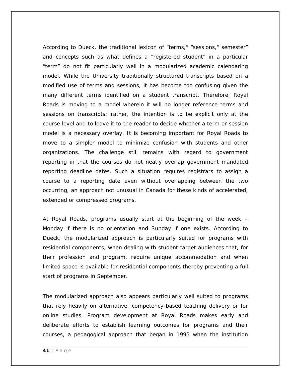According to Dueck, the traditional lexicon of "terms," "sessions," semester" and concepts such as what defines a "registered student" in a particular "term" do not fit particularly well in a modularized academic calendaring model. While the University traditionally structured transcripts based on a modified use of terms and sessions, it has become too confusing given the many different terms identified on a student transcript. Therefore, Royal Roads is moving to a model wherein it will no longer reference terms and sessions on transcripts; rather, the intention is to be explicit only at the course level and to leave it to the reader to decide whether a term or session model is a necessary overlay. It is becoming important for Royal Roads to move to a simpler model to minimize confusion with students and other organizations. The challenge still remains with regard to government reporting in that the courses do not neatly overlap government mandated reporting deadline dates. Such a situation requires registrars to assign a course to a reporting date even without overlapping between the two occurring, an approach not unusual in Canada for these kinds of accelerated, extended or compressed programs.

At Royal Roads, programs usually start at the beginning of the week – Monday if there is no orientation and Sunday if one exists. According to Dueck, the modularized approach is particularly suited for programs with residential components, when dealing with student target audiences that, for their profession and program, require unique accommodation and when limited space is available for residential components thereby preventing a full start of programs in September.

The modularized approach also appears particularly well suited to programs that rely heavily on alternative, competency-based teaching delivery or for online studies. Program development at Royal Roads makes early and deliberate efforts to establish learning outcomes for programs and their courses, a pedagogical approach that began in 1995 when the institution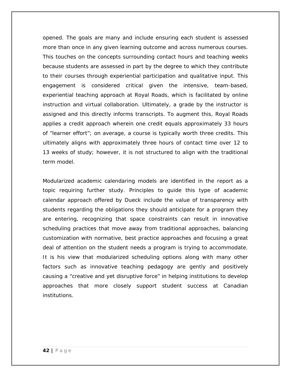opened. The goals are many and include ensuring each student is assessed more than once in any given learning outcome and across numerous courses. This touches on the concepts surrounding contact hours and teaching weeks because students are assessed in part by the degree to which they contribute to their courses through experiential participation and qualitative input. This engagement is considered critical given the intensive, team-based, experiential teaching approach at Royal Roads, which is facilitated by online instruction and virtual collaboration. Ultimately, a grade by the instructor is assigned and this directly informs transcripts. To augment this, Royal Roads applies a credit approach wherein one credit equals approximately 33 hours of "learner effort"; on average, a course is typically worth three credits. This ultimately aligns with approximately three hours of contact time over 12 to 13 weeks of study; however, it is not structured to align with the traditional term model.

Modularized academic calendaring models are identified in the report as a topic requiring further study. Principles to guide this type of academic calendar approach offered by Dueck include the value of transparency with students regarding the obligations they should anticipate for a program they are entering, recognizing that space constraints can result in innovative scheduling practices that move away from traditional approaches, balancing customization with normative, best practice approaches and focusing a great deal of attention on the student needs a program is trying to accommodate. It is his view that modularized scheduling options along with many other factors such as innovative teaching pedagogy are gently and positively causing a "creative and yet disruptive force" in helping institutions to develop approaches that more closely support student success at Canadian institutions.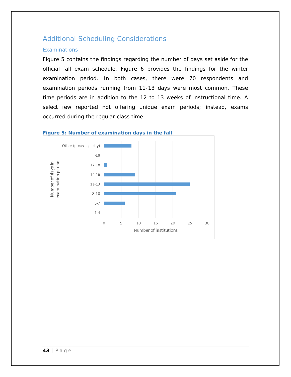## Additional Scheduling Considerations

## **Examinations**

Figure 5 contains the findings regarding the number of days set aside for the official fall exam schedule. Figure 6 provides the findings for the winter examination period. In both cases, there were 70 respondents and examination periods running from 11-13 days were most common. These time periods are in addition to the 12 to 13 weeks of instructional time. A select few reported not offering unique exam periods; instead, exams occurred during the regular class time.



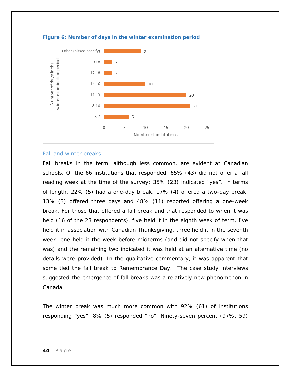

**Figure 6: Number of days in the winter examination period**

#### Fall and winter breaks

Fall breaks in the term, although less common, are evident at Canadian schools. Of the 66 institutions that responded, 65% (43) did not offer a fall reading week at the time of the survey; 35% (23) indicated "yes". In terms of length, 22% (5) had a one-day break, 17% (4) offered a two-day break, 13% (3) offered three days and 48% (11) reported offering a one-week break. For those that offered a fall break and that responded to when it was held (16 of the 23 respondents), five held it in the eighth week of term, five held it in association with Canadian Thanksgiving, three held it in the seventh week, one held it the week before midterms (and did not specify when that was) and the remaining two indicated it was held at an alternative time (no details were provided). In the qualitative commentary, it was apparent that some tied the fall break to Remembrance Day. The case study interviews suggested the emergence of fall breaks was a relatively new phenomenon in Canada.

The winter break was much more common with 92% (61) of institutions responding "yes"; 8% (5) responded "no". Ninety-seven percent (97%, 59)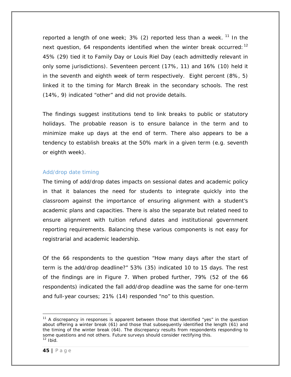reported a length of one week;  $3\%$  (2) reported less than a week.  $11$  In the next question, 64 respondents identified when the winter break occurred:  $12$ 45% (29) tied it to Family Day or Louis Riel Day (each admittedly relevant in only some jurisdictions). Seventeen percent (17%, 11) and 16% (10) held it in the seventh and eighth week of term respectively. Eight percent (8%, 5) linked it to the timing for March Break in the secondary schools. The rest (14%, 9) indicated "other" and did not provide details.

The findings suggest institutions tend to link breaks to public or statutory holidays. The probable reason is to ensure balance in the term and to minimize make up days at the end of term. There also appears to be a tendency to establish breaks at the 50% mark in a given term (e.g. seventh or eighth week).

## Add/drop date timing

The timing of add/drop dates impacts on sessional dates and academic policy in that it balances the need for students to integrate quickly into the classroom against the importance of ensuring alignment with a student's academic plans and capacities. There is also the separate but related need to ensure alignment with tuition refund dates and institutional government reporting requirements. Balancing these various components is not easy for registrarial and academic leadership.

Of the 66 respondents to the question "How many days after the start of term is the add/drop deadline?" 53% (35) indicated 10 to 15 days. The rest of the findings are in Figure 7. When probed further, 79% (52 of the 66 respondents) indicated the fall add/drop deadline was the same for one-term and full-year courses; 21% (14) responded "no" to this question.

<span id="page-44-1"></span><span id="page-44-0"></span> $\overline{a}$  $11$  A discrepancy in responses is apparent between those that identified "yes" in the question about offering a winter break (61) and those that subsequently identified the length (61) and the timing of the winter break (64). The discrepancy results from respondents responding to some questions and not others. Future surveys should consider rectifying this.  $12$  Ibid.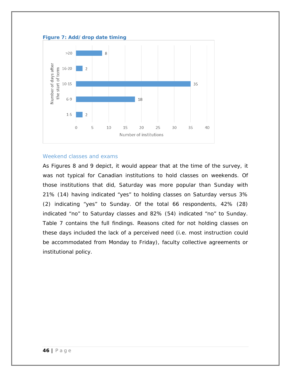

#### **Figure 7: Add/drop date timing**

#### Weekend classes and exams

As Figures 8 and 9 depict, it would appear that at the time of the survey, it was not typical for Canadian institutions to hold classes on weekends. Of those institutions that did, Saturday was more popular than Sunday with 21% (14) having indicated "yes" to holding classes on Saturday versus 3% (2) indicating "yes" to Sunday. Of the total 66 respondents, 42% (28) indicated "no" to Saturday classes and 82% (54) indicated "no" to Sunday. Table 7 contains the full findings. Reasons cited for not holding classes on these days included the lack of a perceived need (i.e. most instruction could be accommodated from Monday to Friday), faculty collective agreements or institutional policy.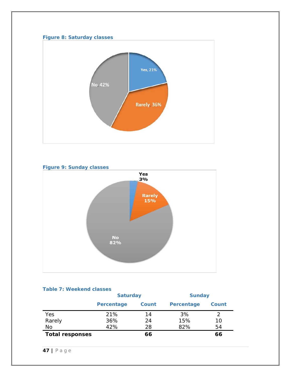## **Figure 8: Saturday classes**



# **Figure 9: Sunday classes** Yes 3% Rarely<br>15% No<br>82%

#### **Table 7: Weekend classes**

|                        |            | <b>Saturday</b> |            | <b>Sunday</b> |  |  |
|------------------------|------------|-----------------|------------|---------------|--|--|
|                        | Percentage | Count           | Percentage | Count         |  |  |
| Yes                    | 21%        | 14              | 3%         |               |  |  |
| Rarely                 | 36%        | 24              | 15%        | 10            |  |  |
| No                     | 42%        | 28              | 82%        | 54            |  |  |
| <b>Total responses</b> |            | 66              |            | 66            |  |  |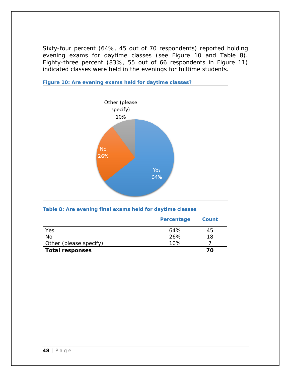Sixty-four percent (64%, 45 out of 70 respondents) reported holding evening exams for daytime classes (see Figure 10 and Table 8). Eighty-three percent (83%, 55 out of 66 respondents in Figure 11) indicated classes were held in the evenings for fulltime students.



**Figure 10: Are evening exams held for daytime classes?**

#### **Table 8: Are evening final exams held for daytime classes**

|                        | Percentage | Count |
|------------------------|------------|-------|
| Yes                    | 64%        | 45    |
| No                     | 26%        | 18    |
| Other (please specify) | 10%        |       |
| <b>Total responses</b> |            | 70    |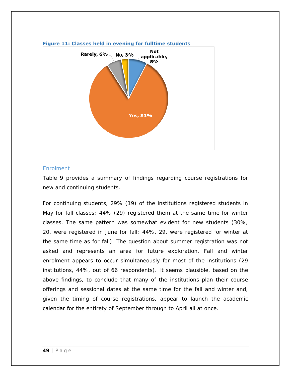

#### **Figure 11: Classes held in evening for fulltime students**

#### **Enrolment**

Table 9 provides a summary of findings regarding course registrations for new and continuing students.

For continuing students, 29% (19) of the institutions registered students in May for fall classes; 44% (29) registered them at the same time for winter classes. The same pattern was somewhat evident for new students (30%, 20, were registered in June for fall; 44%, 29, were registered for winter at the same time as for fall). The question about summer registration was not asked and represents an area for future exploration. Fall and winter enrolment appears to occur simultaneously for most of the institutions (29 institutions, 44%, out of 66 respondents). It seems plausible, based on the above findings, to conclude that many of the institutions plan their course offerings and sessional dates at the same time for the fall and winter and, given the timing of course registrations, appear to launch the academic calendar for the entirety of September through to April all at once.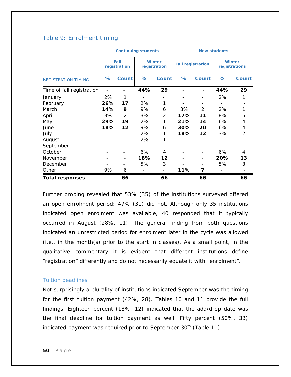## Table 9: Enrolment timing

|                            |     | <b>Continuing students</b>   |                              |                               |                          |               | <b>New students</b>            |       |  |  |
|----------------------------|-----|------------------------------|------------------------------|-------------------------------|--------------------------|---------------|--------------------------------|-------|--|--|
|                            |     | Fall<br>registration         |                              | <b>Winter</b><br>registration | <b>Fall registration</b> |               | <b>Winter</b><br>registrations |       |  |  |
| <b>REGISTRATION TIMING</b> | ℅   | Count                        | ℅                            | <b>Count</b>                  | ℅                        | <b>Count</b>  | %                              | Count |  |  |
| Time of fall registration  |     |                              | 44%                          | 29                            |                          |               | 44%                            | 29    |  |  |
| January                    | 2%  | 1                            | -                            |                               |                          |               | 2%                             | 1     |  |  |
| February                   | 26% | 17                           | 2%                           | 1                             |                          |               |                                |       |  |  |
| March                      | 14% | 9                            | 9%                           | 6                             | 3%                       | $\mathcal{P}$ | 2%                             | 1     |  |  |
| April                      | 3%  | 2                            | 3%                           | 2                             | 17%                      | 11            | 8%                             | 5     |  |  |
| May                        | 29% | 19                           | 2%                           | 1                             | 21%                      | 14            | 6%                             | 4     |  |  |
| June                       | 18% | 12                           | 9%                           | 6                             | 30%                      | 20            | 6%                             | 4     |  |  |
| July                       |     |                              | 2%                           | 1                             | 18%                      | 12            | 3%                             | 2     |  |  |
| August                     |     |                              | 2%                           | 1                             |                          |               |                                |       |  |  |
| September                  |     | $\qquad \qquad \blacksquare$ | $\qquad \qquad \blacksquare$ |                               |                          |               |                                |       |  |  |
| October                    |     |                              | 6%                           | 4                             |                          |               | 6%                             | 4     |  |  |
| November                   |     | $\overline{\phantom{a}}$     | 18%                          | 12                            |                          |               | 20%                            | 13    |  |  |
| December                   |     |                              | 5%                           | 3                             |                          |               | 5%                             | 3     |  |  |
| Other                      | 9%  | 6                            |                              |                               | 11%                      | 7             |                                |       |  |  |
| <b>Total responses</b>     |     | 66                           |                              | 66                            |                          | 66            |                                | 66    |  |  |

Ĭ.

Further probing revealed that 53% (35) of the institutions surveyed offered an open enrolment period; 47% (31) did not. Although only 35 institutions indicated open enrolment was available, 40 responded that it typically occurred in August (28%, 11). The general finding from both questions indicated an unrestricted period for enrolment later in the cycle was allowed (i.e., in the month(s) prior to the start in classes). As a small point, in the qualitative commentary it is evident that different institutions define "registration" differently and do not necessarily equate it with "enrolment".

## Tuition deadlines

Not surprisingly a plurality of institutions indicated September was the timing for the first tuition payment (42%, 28). Tables 10 and 11 provide the full findings. Eighteen percent (18%, 12) indicated that the add/drop date was the final deadline for tuition payment as well. Fifty percent (50%, 33) indicated payment was required prior to September  $30<sup>th</sup>$  (Table 11).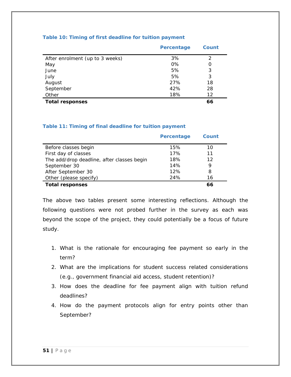#### **Table 10: Timing of first deadline for tuition payment**

|                                 | Percentage | Count |
|---------------------------------|------------|-------|
| After enrolment (up to 3 weeks) | 3%         | 2     |
| May                             | 0%         | 0     |
| June                            | 5%         | 3     |
| July                            | 5%         | 3     |
| August                          | 27%        | 18    |
| September                       | 42%        | 28    |
| Other                           | 18%        | 12    |
| <b>Total responses</b>          |            | 66    |

#### **Table 11: Timing of final deadline for tuition payment**

|                                            | Percentage | Count |  |
|--------------------------------------------|------------|-------|--|
| Before classes begin                       | 15%        | 10    |  |
| First day of classes                       | 17%        | 11    |  |
| The add/drop deadline, after classes begin | 18%        | 12    |  |
| September 30                               | 14%        | 9     |  |
| After September 30                         | 12%        | 8     |  |
| Other (please specify)                     | 24%        | 16    |  |
| <b>Total responses</b>                     |            | 66    |  |

The above two tables present some interesting reflections. Although the following questions were not probed further in the survey as each was beyond the scope of the project, they could potentially be a focus of future study.

- 1. What is the rationale for encouraging fee payment so early in the term?
- 2. What are the implications for student success related considerations (e.g., government financial aid access, student retention)?
- 3. How does the deadline for fee payment align with tuition refund deadlines?
- 4. How do the payment protocols align for entry points other than September?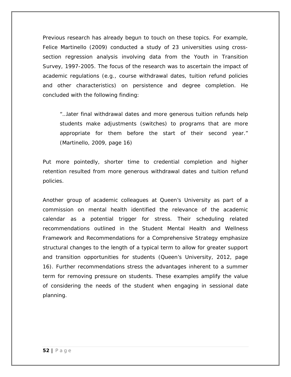Previous research has already begun to touch on these topics. For example, Felice Martinello (2009) conducted a study of 23 universities using crosssection regression analysis involving data from the Youth in Transition Survey, 1997-2005. The focus of the research was to ascertain the impact of academic regulations (e.g., course withdrawal dates, tuition refund policies and other characteristics) on persistence and degree completion. He concluded with the following finding:

"…later final withdrawal dates and more generous tuition refunds help students make adjustments (switches) to programs that are more appropriate for them before the start of their second year." (Martinello, 2009, page 16)

Put more pointedly, shorter time to credential completion and higher retention resulted from more generous withdrawal dates and tuition refund policies.

Another group of academic colleagues at Queen's University as part of a commission on mental health identified the relevance of the academic calendar as a potential trigger for stress. Their scheduling related recommendations outlined in the *Student Mental Health and Wellness Framework and Recommendations for a Comprehensive Strategy* emphasize structural changes to the length of a typical term to allow for greater support and transition opportunities for students (Queen's University, 2012, page 16). Further recommendations stress the advantages inherent to a summer term for removing pressure on students. These examples amplify the value of considering the needs of the student when engaging in sessional date planning.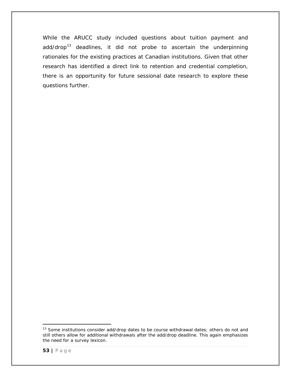While the ARUCC study included questions about tuition payment and  $add/drop<sup>13</sup>$  $add/drop<sup>13</sup>$  $add/drop<sup>13</sup>$  deadlines, it did not probe to ascertain the underpinning rationales for the existing practices at Canadian institutions. Given that other research has identified a direct link to retention and credential completion, there is an opportunity for future sessional date research to explore these questions further.

<span id="page-52-0"></span>l  $13$  Some institutions consider add/drop dates to be course withdrawal dates; others do not and still others allow for additional withdrawals after the add/drop deadline. This again emphasizes the need for a survey lexicon.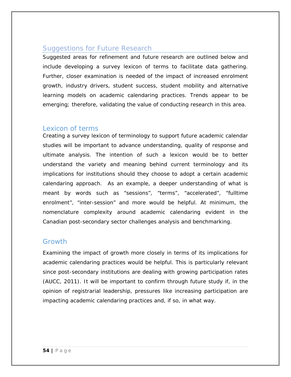## Suggestions for Future Research

Suggested areas for refinement and future research are outlined below and include developing a survey lexicon of terms to facilitate data gathering. Further, closer examination is needed of the impact of increased enrolment growth, industry drivers, student success, student mobility and alternative learning models on academic calendaring practices. Trends appear to be emerging; therefore, validating the value of conducting research in this area.

## Lexicon of terms

Creating a survey lexicon of terminology to support future academic calendar studies will be important to advance understanding, quality of response and ultimate analysis. The intention of such a lexicon would be to better understand the variety and meaning behind current terminology and its implications for institutions should they choose to adopt a certain academic calendaring approach. As an example, a deeper understanding of what is meant by words such as "sessions", "terms", "accelerated", "fulltime enrolment", "inter-session" and more would be helpful. At minimum, the nomenclature complexity around academic calendaring evident in the Canadian post-secondary sector challenges analysis and benchmarking.

## **Growth**

Examining the impact of growth more closely in terms of its implications for academic calendaring practices would be helpful. This is particularly relevant since post-secondary institutions are dealing with growing participation rates (AUCC, 2011). It will be important to confirm through future study if, in the opinion of registrarial leadership, pressures like increasing participation are impacting academic calendaring practices and, if so, in what way.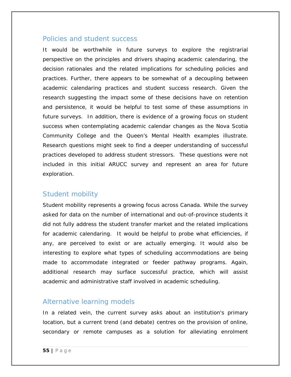## Policies and student success

It would be worthwhile in future surveys to explore the registrarial perspective on the principles and drivers shaping academic calendaring, the decision rationales and the related implications for scheduling policies and practices. Further, there appears to be somewhat of a decoupling between academic calendaring practices and student success research. Given the research suggesting the impact some of these decisions have on retention and persistence, it would be helpful to test some of these assumptions in future surveys. In addition, there is evidence of a growing focus on student success when contemplating academic calendar changes as the Nova Scotia Community College and the Queen's Mental Health examples illustrate. Research questions might seek to find a deeper understanding of successful practices developed to address student stressors. These questions were not included in this initial ARUCC survey and represent an area for future exploration.

## Student mobility

Student mobility represents a growing focus across Canada. While the survey asked for data on the number of international and out-of-province students it did not fully address the student transfer market and the related implications for academic calendaring. It would be helpful to probe what efficiencies, if any, are perceived to exist or are actually emerging. It would also be interesting to explore what types of scheduling accommodations are being made to accommodate integrated or feeder pathway programs. Again, additional research may surface successful practice, which will assist academic and administrative staff involved in academic scheduling.

## Alternative learning models

In a related vein, the current survey asks about an institution's primary location, but a current trend (and debate) centres on the provision of online, secondary or remote campuses as a solution for alleviating enrolment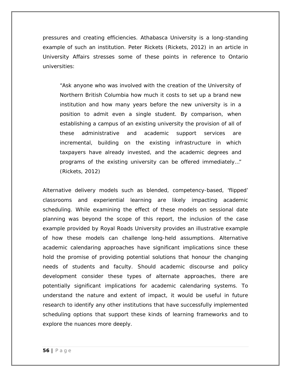pressures and creating efficiencies. Athabasca University is a long-standing example of such an institution. Peter Rickets (Rickets, 2012) in an article in University Affairs stresses some of these points in reference to Ontario universities:

"Ask anyone who was involved with the creation of the University of Northern British Columbia how much it costs to set up a brand new institution and how many years before the new university is in a position to admit even a single student. By comparison, when establishing a campus of an existing university the provision of all of these administrative and academic support services are incremental, building on the existing infrastructure in which taxpayers have already invested, and the academic degrees and programs of the existing university can be offered immediately…" (Rickets, 2012)

Alternative delivery models such as blended, competency-based, 'flipped' classrooms and experiential learning are likely impacting academic scheduling. While examining the effect of these models on sessional date planning was beyond the scope of this report, the inclusion of the case example provided by Royal Roads University provides an illustrative example of how these models can challenge long-held assumptions. Alternative academic calendaring approaches have significant implications since these hold the promise of providing potential solutions that honour the changing needs of students and faculty. Should academic discourse and policy development consider these types of alternate approaches, there are potentially significant implications for academic calendaring systems. To understand the nature and extent of impact, it would be useful in future research to identify any other institutions that have successfully implemented scheduling options that support these kinds of learning frameworks and to explore the nuances more deeply.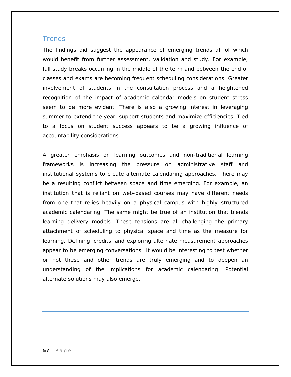## **Trends**

The findings did suggest the appearance of emerging trends all of which would benefit from further assessment, validation and study. For example, fall study breaks occurring in the middle of the term and between the end of classes and exams are becoming frequent scheduling considerations. Greater involvement of students in the consultation process and a heightened recognition of the impact of academic calendar models on student stress seem to be more evident. There is also a growing interest in leveraging summer to extend the year, support students and maximize efficiencies. Tied to a focus on student success appears to be a growing influence of accountability considerations.

A greater emphasis on learning outcomes and non-traditional learning frameworks is increasing the pressure on administrative staff and institutional systems to create alternate calendaring approaches. There may be a resulting conflict between space and time emerging. For example, an institution that is reliant on web-based courses may have different needs from one that relies heavily on a physical campus with highly structured academic calendaring. The same might be true of an institution that blends learning delivery models. These tensions are all challenging the primary attachment of scheduling to physical space and time as the measure for learning. Defining 'credits' and exploring alternate measurement approaches appear to be emerging conversations. It would be interesting to test whether or not these and other trends are truly emerging and to deepen an understanding of the implications for academic calendaring. Potential alternate solutions may also emerge.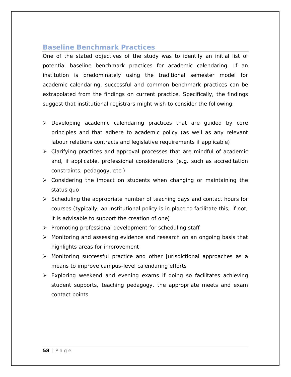## **Baseline Benchmark Practices**

One of the stated objectives of the study was to identify an initial list of potential baseline benchmark practices for academic calendaring. If an institution is predominately using the traditional semester model for academic calendaring, successful and common benchmark practices can be extrapolated from the findings on current practice. Specifically, the findings suggest that institutional registrars might wish to consider the following:

- Developing academic calendaring practices that are guided by core principles and that adhere to academic policy (as well as any relevant labour relations contracts and legislative requirements if applicable)
- Clarifying practices and approval processes that are mindful of academic and, if applicable, professional considerations (e.g. such as accreditation constraints, pedagogy, etc.)
- $\triangleright$  Considering the impact on students when changing or maintaining the status quo
- $\triangleright$  Scheduling the appropriate number of teaching days and contact hours for courses (typically, an institutional policy is in place to facilitate this; if not, it is advisable to support the creation of one)
- $\triangleright$  Promoting professional development for scheduling staff
- $\triangleright$  Monitoring and assessing evidence and research on an ongoing basis that highlights areas for improvement
- Monitoring successful practice and other jurisdictional approaches as a means to improve campus-level calendaring efforts
- > Exploring weekend and evening exams if doing so facilitates achieving student supports, teaching pedagogy, the appropriate meets and exam contact points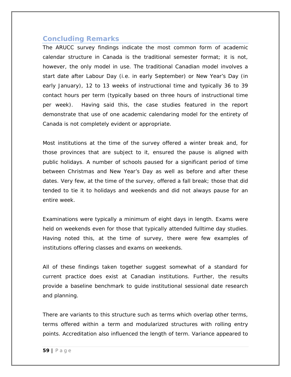## **Concluding Remarks**

The ARUCC survey findings indicate the most common form of academic calendar structure in Canada is the traditional semester format; it is not, however, the only model in use. The traditional Canadian model involves a start date after Labour Day (i.e. in early September) or New Year's Day (in early January), 12 to 13 weeks of instructional time and typically 36 to 39 contact hours per term (typically based on three hours of instructional time per week). Having said this, the case studies featured in the report demonstrate that use of one academic calendaring model for the entirety of Canada is not completely evident or appropriate.

Most institutions at the time of the survey offered a winter break and, for those provinces that are subject to it, ensured the pause is aligned with public holidays. A number of schools paused for a significant period of time between Christmas and New Year's Day as well as before and after these dates. Very few, at the time of the survey, offered a fall break; those that did tended to tie it to holidays and weekends and did not always pause for an entire week.

Examinations were typically a minimum of eight days in length. Exams were held on weekends even for those that typically attended fulltime day studies. Having noted this, at the time of survey, there were few examples of institutions offering classes and exams on weekends.

All of these findings taken together suggest somewhat of a standard for current practice does exist at Canadian institutions. Further, the results provide a baseline benchmark to guide institutional sessional date research and planning.

There are variants to this structure such as terms which overlap other terms, terms offered within a term and modularized structures with rolling entry points. Accreditation also influenced the length of term. Variance appeared to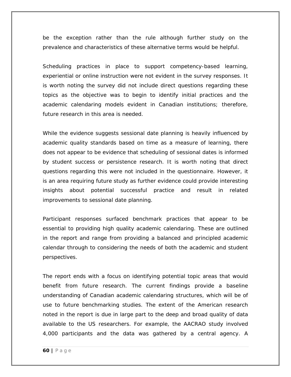be the exception rather than the rule although further study on the prevalence and characteristics of these alternative terms would be helpful.

Scheduling practices in place to support competency-based learning, experiential or online instruction were not evident in the survey responses. It is worth noting the survey did not include direct questions regarding these topics as the objective was to begin to identify initial practices and the academic calendaring models evident in Canadian institutions; therefore, future research in this area is needed.

While the evidence suggests sessional date planning is heavily influenced by academic quality standards based on time as a measure of learning, there does not appear to be evidence that scheduling of sessional dates is informed by student success or persistence research. It is worth noting that direct questions regarding this were not included in the questionnaire. However, it is an area requiring future study as further evidence could provide interesting insights about potential successful practice and result in related improvements to sessional date planning.

Participant responses surfaced benchmark practices that appear to be essential to providing high quality academic calendaring. These are outlined in the report and range from providing a balanced and principled academic calendar through to considering the needs of both the academic and student perspectives.

The report ends with a focus on identifying potential topic areas that would benefit from future research. The current findings provide a baseline understanding of Canadian academic calendaring structures, which will be of use to future benchmarking studies. The extent of the American research noted in the report is due in large part to the deep and broad quality of data available to the US researchers. For example, the AACRAO study involved 4,000 participants and the data was gathered by a central agency. A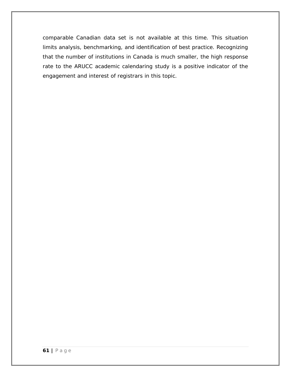comparable Canadian data set is not available at this time. This situation limits analysis, benchmarking, and identification of best practice. Recognizing that the number of institutions in Canada is much smaller, the high response rate to the ARUCC academic calendaring study is a positive indicator of the engagement and interest of registrars in this topic.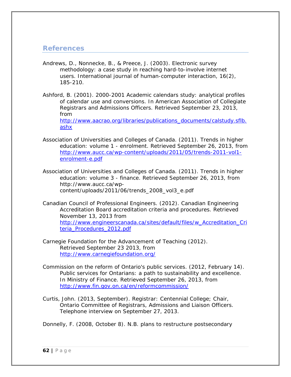## **References**

- Andrews, D., Nonnecke, B., & Preece, J. (2003). Electronic survey methodology: a case study in reaching hard-to-involve internet users. *International journal of human-computer interaction*, *16*(2), 185-210.
- Ashford, B. (2001). 2000-2001 Academic calendars study: analytical profiles of calendar use and conversions. In *American Association of Collegiate Registrars and Admissions Officers*. Retrieved September 23, 2013, from [http://www.aacrao.org/libraries/publications\\_documents/calstudy.sflb.](http://www.aacrao.org/libraries/publications_documents/calstudy.sflb.ashx) [ashx](http://www.aacrao.org/libraries/publications_documents/calstudy.sflb.ashx)
- Association of Universities and Colleges of Canada. (2011). Trends in higher education: volume 1 - enrolment. Retrieved September 26, 2013, from [http://www.aucc.ca/wp-content/uploads/2011/05/trends-2011-vol1](http://www.aucc.ca/wp-content/uploads/2011/05/trends-2011-vol1-enrolment-e.pdf) [enrolment-e.pdf](http://www.aucc.ca/wp-content/uploads/2011/05/trends-2011-vol1-enrolment-e.pdf)
- Association of Universities and Colleges of Canada. (2011). Trends in higher education: volume 3 - finance. Retrieved September 26, 2013, from http://www.aucc.ca/wpcontent/uploads/2011/06/trends\_2008\_vol3\_e.pdf
- Canadian Council of Professional Engineers. (2012). Canadian Engineering Accreditation Board accreditation criteria and procedures. Retrieved November 13, 2013 from [http://www.engineerscanada.ca/sites/default/files/w\\_Accreditation\\_Cri](http://www.engineerscanada.ca/sites/default/files/w_Accreditation_Criteria_Procedures_2012.pdf) [teria\\_Procedures\\_2012.pdf](http://www.engineerscanada.ca/sites/default/files/w_Accreditation_Criteria_Procedures_2012.pdf)
- Carnegie Foundation for the Advancement of Teaching (2012). Retrieved September 23 2013, from <http://www.carnegiefoundation.org/>
- Commission on the reform of Ontario's public services. (2012, February 14). Public services for Ontarians: a path to sustainability and excellence. In *Ministry of Finance*. Retrieved September 26, 2013, from <http://www.fin.gov.on.ca/en/reformcommission/>
- Curtis, John. (2013, September). Registrar: Centennial College; Chair, Ontario Committee of Registrars, Admissions and Liaison Officers. Telephone interview on September 27, 2013.

Donnelly, F. (2008, October 8). N.B. plans to restructure postsecondary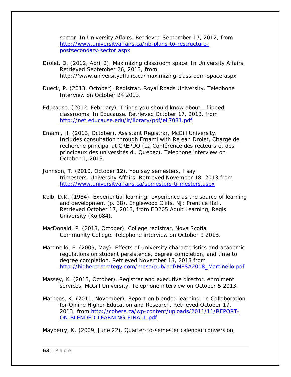sector. In *University Affairs*. Retrieved September 17, 2012, from [http://www.universityaffairs.ca/nb-plans-to-restructure](http://www.universityaffairs.ca/nb-plans-to-restructure-postsecondary-sector.aspx)[postsecondary-sector.aspx](http://www.universityaffairs.ca/nb-plans-to-restructure-postsecondary-sector.aspx)

- Drolet, D. (2012, April 2). Maximizing classroom space. In *University Affairs*. Retrieved September 26, 2013, from http://'www.universityaffairs.ca/maximizing-classroom-space.aspx
- Dueck, P. (2013, October). Registrar, Royal Roads University. Telephone Interview on October 24 2013.
- Educause. (2012, February). Things you should know about… flipped classrooms. In *Educause*. Retrieved October 17, 2013, from <http://net.educause.edu/ir/library/pdf/eli7081.pdf>
- Emami, H. (2013, October). Assistant Registrar, McGill University. Includes consultation through Emami with Réjean Drolet, Chargé de recherche principal at CREPUQ (La Conférence des recteurs et des principaux des universités du Québec). Telephone interview on October 1, 2013.
- Johnson, T. (2010, October 12). You say semesters, I say trimesters. *University Affairs*. Retrieved November 18, 2013 from <http://www.universityaffairs.ca/semesters-trimesters.aspx>
- Kolb, D.K. (1984). *Experiential learning: experience as the source of learning and development* (p. 38). Englewood Cliffs, NJ: Prentice Hall. Retrieved October 17, 2013, from ED205 Adult Learning, Regis University (Kolb84).
- MacDonald, P. (2013, October). College registrar, Nova Scotia Community College. Telephone interview on October 9 2013.
- Martinello, F. (2009, May). Effects of university characteristics and academic regulations on student persistence, degree completion, and time to degree completion. Retrieved November 13, 2013 from [http://higheredstrategy.com/mesa/pub/pdf/MESA2008\\_Martinello.pdf](http://higheredstrategy.com/mesa/pub/pdf/MESA2008_Martinello.pdf)
- Massey, K. (2013, October). Registrar and executive director, enrolment services, McGill University. Telephone interview on October 5 2013.
- Matheos, K. (2011, November). Report on blended learning. In *Collaboration for Online Higher Education and Research*. Retrieved October 17, 2013, from [http://cohere.ca/wp-content/uploads/2011/11/REPORT-](http://cohere.ca/wp-content/uploads/2011/11/REPORT-ON-BLENDED-LEARNING-FINAL1.pdf)[ON-BLENDED-LEARNING-FINAL1.pdf](http://cohere.ca/wp-content/uploads/2011/11/REPORT-ON-BLENDED-LEARNING-FINAL1.pdf)

Mayberry, K. (2009, June 22). Quarter-to-semester calendar conversion,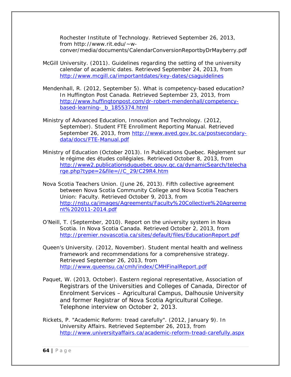Rochester Institute of Technology. Retrieved September 26, 2013, from http://www.rit.edu/~wconver/media/documents/CalendarConversionReportbyDrMayberry.pdf

- McGill University. (2011). Guidelines regarding the setting of the university calendar of academic dates. Retrieved September 24, 2013, from <http://www.mcgill.ca/importantdates/key-dates/csaguidelines>
- Mendenhall, R. (2012, September 5). What is competency-based education? In *Huffington Post Canada*. Retrieved September 23, 2013, from [http://www.huffingtonpost.com/dr-robert-mendenhall/competency](http://www.huffingtonpost.com/dr-robert-mendenhall/competency-based-learning-_b_1855374.html)[based-learning-\\_b\\_1855374.html](http://www.huffingtonpost.com/dr-robert-mendenhall/competency-based-learning-_b_1855374.html)
- Ministry of Advanced Education, Innovation and Technology. (2012, September). Student FTE Enrollment Reporting Manual. Retrieved September 26, 2013, from [http://www.aved.gov.bc.ca/postsecondary](http://www.aved.gov.bc.ca/postsecondary-data/docs/FTE-Manual.pdf)[data/docs/FTE-Manual.pdf](http://www.aved.gov.bc.ca/postsecondary-data/docs/FTE-Manual.pdf)
- Ministry of Education (October 2013). In Publications Quebec. Règlement sur le régime des études collégiales. Retrieved October 8, 2013, from [http://www2.publicationsduquebec.gouv.qc.ca/dynamicSearch/telecha](http://www2.publicationsduquebec.gouv.qc.ca/dynamicSearch/telecharge.php?type=2&file=//C_29/C29R4.htm) [rge.php?type=2&file=//C\\_29/C29R4.htm](http://www2.publicationsduquebec.gouv.qc.ca/dynamicSearch/telecharge.php?type=2&file=//C_29/C29R4.htm)
- Nova Scotia Teachers Union. (June 26, 2013). Fifth collective agreement between Nova Scotia Community College and Nova Scotia Teachers Union: Faculty. Retrieved October 9, 2013, from [http://nstu.ca/images/Agreements/Faculty%20Collective%20Agreeme](http://nstu.ca/images/Agreements/Faculty%20Collective%20Agreement%202011-2014.pdf) [nt%202011-2014.pdf](http://nstu.ca/images/Agreements/Faculty%20Collective%20Agreement%202011-2014.pdf)
- O'Neill, T. (September, 2010). Report on the university system in Nova Scotia. In *Nova Scotia Canada*. Retrieved October 2, 2013, from <http://premier.novascotia.ca/sites/default/files/EducationReport.pdf>
- Queen's University. (2012, November). Student mental health and wellness framework and recommendations for a comprehensive strategy. Retrieved September 26, 2013, from <http://www.queensu.ca/cmh/index/CMHFinalReport.pdf>
- Paquet, W. (2013, October). Eastern regional representative, Association of Registrars of the Universities and Colleges of Canada, Director of Enrolment Services – Agricultural Campus, Dalhousie University and former Registrar of Nova Scotia Agricultural College. Telephone interview on October 2, 2013.
- Rickets, P. "Academic Reform: tread carefully". (2012, January 9). In *University Affairs*. Retrieved September 26, 2013, from <http://www.universityaffairs.ca/academic-reform-tread-carefully.aspx>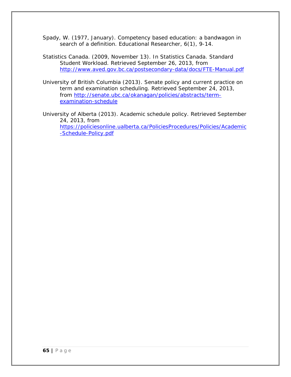Spady, W. (1977, January). Competency based education: a bandwagon in search of a definition. *Educational Researcher*, *6*(1), 9-14.

- Statistics Canada. (2009, November 13). In *Statistics Canada.* Standard Student Workload. Retrieved September 26, 2013, from <http://www.aved.gov.bc.ca/postsecondary-data/docs/FTE-Manual.pdf>
- University of British Columbia (2013). Senate policy and current practice on term and examination scheduling. Retrieved September 24, 2013, from [http://senate.ubc.ca/okanagan/policies/abstracts/term](http://senate.ubc.ca/okanagan/policies/abstracts/term-examination-schedule)[examination-schedule](http://senate.ubc.ca/okanagan/policies/abstracts/term-examination-schedule)
- University of Alberta (2013). Academic schedule policy. Retrieved September 24, 2013, from [https://policiesonline.ualberta.ca/PoliciesProcedures/Policies/Academic](https://policiesonline.ualberta.ca/PoliciesProcedures/Policies/Academic-Schedule-Policy.pdf) [-Schedule-Policy.pdf](https://policiesonline.ualberta.ca/PoliciesProcedures/Policies/Academic-Schedule-Policy.pdf)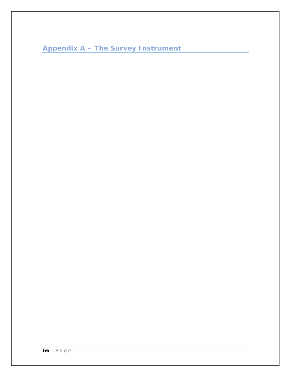```
Appendix A – The Survey Instrument
```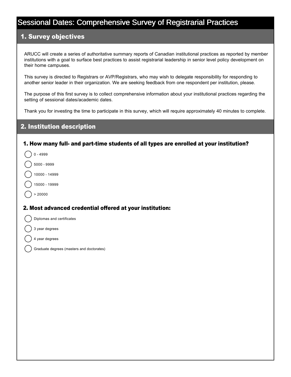# Sessional Dates: Comprehensive Survey of Registrarial Practices

## 1. Survey objectives

ARUCC will create a series of authoritative summary reports of Canadian institutional practices as reported by member institutions with a goal to surface best practices to assist registrarial leadership in senior level policy development on their home campuses.

This survey is directed to Registrars or AVP/Registrars, who may wish to delegate responsibility for responding to another senior leader in their organization. We are seeking feedback from one respondent per institution, please.

The purpose of this first survey is to collect comprehensive information about your institutional practices regarding the setting of sessional dates/academic dates.

Thank you for investing the time to participate in this survey, which will require approximately 40 minutes to complete.

## 2. Institution description

#### 1. How many full- and part-time students of all types are enrolled at your institution?

- 0 4999
- nmlkj 5000 9999
- 10000 14999
- 15000 19999
- $> 20000$

 $\sim$ 

## 2. Most advanced credential offered at your institution:

- Diplomas and certificates
- 3 year degrees
- 4 year degrees
- Graduate degrees (masters and doctorates)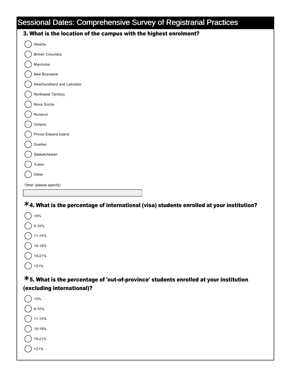# Sessional Dates: Comprehensive Survey of Registrarial Practices

| 3. What is the location of the campus with the highest enrolment? |
|-------------------------------------------------------------------|
| Alberta                                                           |
| British Columbia                                                  |
| Manitoba                                                          |
| New Brunswick                                                     |
| Newfoundland and Labrador                                         |
| Northwest Territory                                               |
| Nova Scotia                                                       |
| Nunavut                                                           |
| Ontario                                                           |
| Prince Edward Island                                              |
| Quebec                                                            |
| Saskatchewan                                                      |
| Yukon                                                             |
| Other                                                             |
| Other (please specify)                                            |
|                                                                   |

4. What is the percentage of international (visa) students enrolled at your institution? **\***

| 5%     |
|--------|
| 6-10%  |
| 11-15% |
| 16-18% |
| 19-21% |
| >21%   |

**\*5. What is the percentage of 'out-of-province' students enrolled at your institution** (excluding international)?

| <5%       |
|-----------|
| $6 - 10%$ |
| 11-15%    |
| 16-18%    |
| 19-21%    |
| 21%       |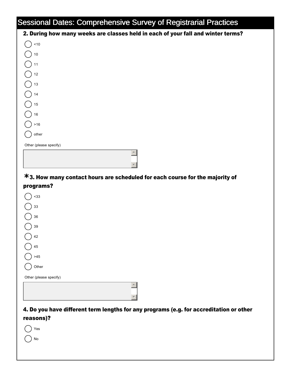## Sessional Dates: Comprehensive Survey of Registrarial Practices

| sociolita Batoc: Compromente Carvey of Regionanti Pachoco                        |  |  |
|----------------------------------------------------------------------------------|--|--|
| 2. During how many weeks are classes held in each of your fall and winter terms? |  |  |
| 10                                                                               |  |  |
| $10\,$                                                                           |  |  |
| 11                                                                               |  |  |
| $12\,$                                                                           |  |  |
| $13$                                                                             |  |  |
| 14                                                                               |  |  |
| 15                                                                               |  |  |
| 16                                                                               |  |  |
| $>16$                                                                            |  |  |
| other                                                                            |  |  |
| Other (please specify)                                                           |  |  |
| $\blacktriangle$                                                                 |  |  |
|                                                                                  |  |  |

## 3. How many contact hours are scheduled for each course for the majority of **\*** programs?

| $-33$                  |
|------------------------|
| 33                     |
| 36                     |
| 39                     |
| 42                     |
| 45                     |
| $>45$                  |
| Other                  |
| Other (please specify) |
|                        |
|                        |

## 4. Do you have different term lengths for any programs (e.g. for accreditation or other reasons)?

 $\left| \right|$ 

 $\mathbf{v}$ 

|  | z<br>÷ |
|--|--------|
|--|--------|

 $\bigcap$  No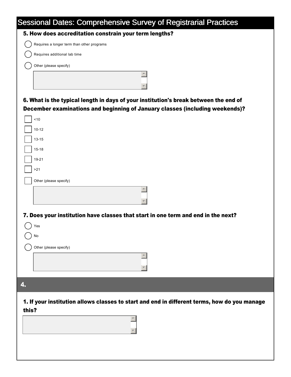| <b>Sessional Dates: Comprehensive Survey of Registrarial Practices</b>                                                                                               |
|----------------------------------------------------------------------------------------------------------------------------------------------------------------------|
| 5. How does accreditation constrain your term lengths?                                                                                                               |
| Requires a longer term than other programs                                                                                                                           |
| Requires additional lab time                                                                                                                                         |
| Other (please specify)                                                                                                                                               |
|                                                                                                                                                                      |
| 6. What is the typical length in days of your institution's break between the end of<br>December examinations and beginning of January classes (including weekends)? |
| ~10                                                                                                                                                                  |
| $10 - 12$                                                                                                                                                            |
| $13 - 15$                                                                                                                                                            |
| $15 - 18$                                                                                                                                                            |
| $19 - 21$                                                                                                                                                            |
| >21                                                                                                                                                                  |
| Other (please specify)                                                                                                                                               |
|                                                                                                                                                                      |
| 7. Does your institution have classes that start in one term and end in the next?                                                                                    |
| Yes                                                                                                                                                                  |
| No                                                                                                                                                                   |
| Other (please specify)                                                                                                                                               |
|                                                                                                                                                                      |
| 4.                                                                                                                                                                   |
| 1. If your institution allows classes to start and end in different terms, how do you manage<br>this?                                                                |
|                                                                                                                                                                      |
|                                                                                                                                                                      |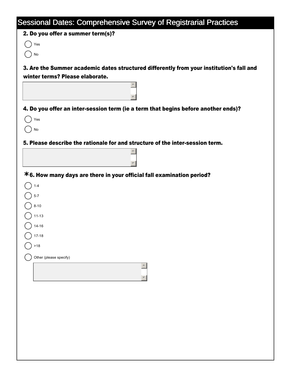| 2. Do you offer a summer term(s)?<br>Yes<br>No<br>3. Are the Summer academic dates structured differently from your institution's fall and<br>winter terms? Please elaborate.<br>4. Do you offer an inter-session term (ie a term that begins before another ends)?<br>Yes<br>No<br>5. Please describe the rationale for and structure of the inter-session term.<br>*6. How many days are there in your official fall examination period?<br>$1 - 4$<br>$5 - 7$<br>$8 - 10$<br>$11 - 13$<br>14-16<br>$17 - 18$<br>$>18$<br>Other (please specify) | <b>Sessional Dates: Comprehensive Survey of Registrarial Practices</b> |
|----------------------------------------------------------------------------------------------------------------------------------------------------------------------------------------------------------------------------------------------------------------------------------------------------------------------------------------------------------------------------------------------------------------------------------------------------------------------------------------------------------------------------------------------------|------------------------------------------------------------------------|
|                                                                                                                                                                                                                                                                                                                                                                                                                                                                                                                                                    |                                                                        |
|                                                                                                                                                                                                                                                                                                                                                                                                                                                                                                                                                    |                                                                        |
|                                                                                                                                                                                                                                                                                                                                                                                                                                                                                                                                                    |                                                                        |
|                                                                                                                                                                                                                                                                                                                                                                                                                                                                                                                                                    |                                                                        |
|                                                                                                                                                                                                                                                                                                                                                                                                                                                                                                                                                    |                                                                        |
|                                                                                                                                                                                                                                                                                                                                                                                                                                                                                                                                                    |                                                                        |
|                                                                                                                                                                                                                                                                                                                                                                                                                                                                                                                                                    |                                                                        |
|                                                                                                                                                                                                                                                                                                                                                                                                                                                                                                                                                    |                                                                        |
|                                                                                                                                                                                                                                                                                                                                                                                                                                                                                                                                                    |                                                                        |
|                                                                                                                                                                                                                                                                                                                                                                                                                                                                                                                                                    |                                                                        |
|                                                                                                                                                                                                                                                                                                                                                                                                                                                                                                                                                    |                                                                        |
|                                                                                                                                                                                                                                                                                                                                                                                                                                                                                                                                                    |                                                                        |
|                                                                                                                                                                                                                                                                                                                                                                                                                                                                                                                                                    |                                                                        |
|                                                                                                                                                                                                                                                                                                                                                                                                                                                                                                                                                    |                                                                        |
|                                                                                                                                                                                                                                                                                                                                                                                                                                                                                                                                                    |                                                                        |
|                                                                                                                                                                                                                                                                                                                                                                                                                                                                                                                                                    |                                                                        |
|                                                                                                                                                                                                                                                                                                                                                                                                                                                                                                                                                    |                                                                        |
|                                                                                                                                                                                                                                                                                                                                                                                                                                                                                                                                                    |                                                                        |
|                                                                                                                                                                                                                                                                                                                                                                                                                                                                                                                                                    |                                                                        |
|                                                                                                                                                                                                                                                                                                                                                                                                                                                                                                                                                    |                                                                        |
|                                                                                                                                                                                                                                                                                                                                                                                                                                                                                                                                                    |                                                                        |
|                                                                                                                                                                                                                                                                                                                                                                                                                                                                                                                                                    |                                                                        |
|                                                                                                                                                                                                                                                                                                                                                                                                                                                                                                                                                    |                                                                        |
|                                                                                                                                                                                                                                                                                                                                                                                                                                                                                                                                                    |                                                                        |
|                                                                                                                                                                                                                                                                                                                                                                                                                                                                                                                                                    |                                                                        |
|                                                                                                                                                                                                                                                                                                                                                                                                                                                                                                                                                    |                                                                        |
|                                                                                                                                                                                                                                                                                                                                                                                                                                                                                                                                                    |                                                                        |
|                                                                                                                                                                                                                                                                                                                                                                                                                                                                                                                                                    |                                                                        |
|                                                                                                                                                                                                                                                                                                                                                                                                                                                                                                                                                    |                                                                        |
|                                                                                                                                                                                                                                                                                                                                                                                                                                                                                                                                                    |                                                                        |
|                                                                                                                                                                                                                                                                                                                                                                                                                                                                                                                                                    |                                                                        |
|                                                                                                                                                                                                                                                                                                                                                                                                                                                                                                                                                    |                                                                        |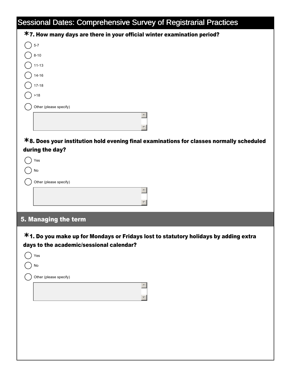| <b>Sessional Dates: Comprehensive Survey of Registrarial Practices</b>                      |
|---------------------------------------------------------------------------------------------|
| *7. How many days are there in your official winter examination period?                     |
| $5-7$                                                                                       |
| $8 - 10$                                                                                    |
| $11 - 13$                                                                                   |
| $14 - 16$                                                                                   |
| $17 - 18$                                                                                   |
| $>18$                                                                                       |
| Other (please specify)                                                                      |
|                                                                                             |
| $*$ 8. Does your institution hold evening final examinations for classes normally scheduled |
| during the day?                                                                             |
| Yes                                                                                         |
| No                                                                                          |
| Other (please specify)                                                                      |
|                                                                                             |
|                                                                                             |
| 5. Managing the term                                                                        |
| *1. Do you make up for Mondays or Fridays lost to statutory holidays by adding extra        |
| days to the academic/sessional calendar?                                                    |
| Yes                                                                                         |
| No                                                                                          |
| Other (please specify)                                                                      |
|                                                                                             |
|                                                                                             |
|                                                                                             |
|                                                                                             |
|                                                                                             |
|                                                                                             |
|                                                                                             |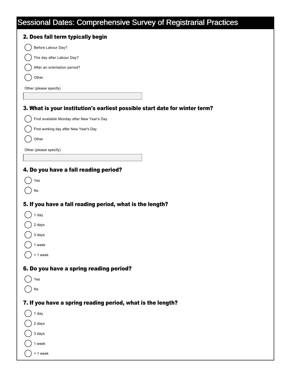|  | Sessional Dates: Comprehensive Survey of Registrarial Practices |  |
|--|-----------------------------------------------------------------|--|
|  |                                                                 |  |

| 2. Does fall term typically begin                                           |
|-----------------------------------------------------------------------------|
| Before Labour Day?                                                          |
| The day after Labour Day?                                                   |
| After an orientation period?                                                |
| Other                                                                       |
| Other (please specify)                                                      |
|                                                                             |
| 3. What is your institution's earliest possible start date for winter term? |
| First available Monday after New Year's Day                                 |
| First working day after New Year's Day                                      |
| Other                                                                       |
| Other (please specify)                                                      |
|                                                                             |
| 4. Do you have a fall reading period?                                       |
| Yes                                                                         |
| No                                                                          |
| 5. If you have a fall reading period, what is the length?                   |
| 1 day                                                                       |
| 2 days                                                                      |
| 3 days                                                                      |
| 1 week                                                                      |
| > 1 week                                                                    |
|                                                                             |
| 6. Do you have a spring reading period?                                     |
| Yes                                                                         |
| No                                                                          |
| 7. If you have a spring reading period, what is the length?                 |
| 1 day                                                                       |
| 2 days                                                                      |
| 3 days                                                                      |
| 1 week                                                                      |
| > 1 week                                                                    |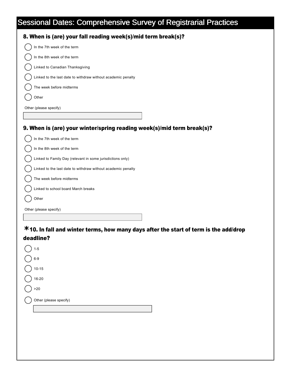| 8. When is (are) your fall reading week(s)/mid term break(s)?          |
|------------------------------------------------------------------------|
| In the 7th week of the term                                            |
| In the 8th week of the term                                            |
| Linked to Canadian Thanksgiving                                        |
| Linked to the last date to withdraw without academic penalty           |
| The week before midterms                                               |
| Other                                                                  |
| Other (please specify)                                                 |
|                                                                        |
| 9. When is (are) your winter/spring reading week(s)/mid term break(s)? |
| In the 7th week of the term                                            |
| In the 8th week of the term                                            |
| Linked to Family Day (relevant in some jurisdictions only)             |

10. In fall and winter terms, how many days after the start of term is the add/drop **\*** deadline?

| $1-5$                  |
|------------------------|
| $6-9$                  |
| $10-15$                |
| 16-20                  |
| >20                    |
|                        |
| Other (please specify) |
|                        |
|                        |
|                        |

Linked to the last date to withdraw without academic penalty

The week before midterms

Other

Other (please specify)

Linked to school board March breaks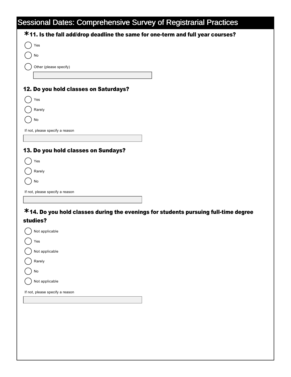|                                       | <b>Sessional Dates: Comprehensive Survey of Registrarial Practices</b>              |
|---------------------------------------|-------------------------------------------------------------------------------------|
|                                       | *11. Is the fall add/drop deadline the same for one-term and full year courses?     |
| Yes                                   |                                                                                     |
| No                                    |                                                                                     |
| Other (please specify)                |                                                                                     |
|                                       |                                                                                     |
| 12. Do you hold classes on Saturdays? |                                                                                     |
| Yes                                   |                                                                                     |
| Rarely                                |                                                                                     |
| No                                    |                                                                                     |
| If not, please specify a reason       |                                                                                     |
|                                       |                                                                                     |
| 13. Do you hold classes on Sundays?   |                                                                                     |
| Yes                                   |                                                                                     |
| Rarely                                |                                                                                     |
| No                                    |                                                                                     |
| If not, please specify a reason       |                                                                                     |
|                                       |                                                                                     |
|                                       | *14. Do you hold classes during the evenings for students pursuing full-time degree |
| studies?                              |                                                                                     |
| Not applicable                        |                                                                                     |
| Yes                                   |                                                                                     |
| Not applicable                        |                                                                                     |
| Rarely                                |                                                                                     |
| No                                    |                                                                                     |
| Not applicable                        |                                                                                     |
| If not, please specify a reason       |                                                                                     |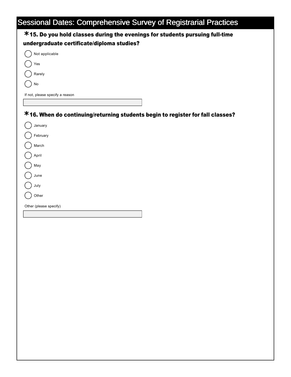| *15. Do you hold classes during the evenings for students pursuing full-time   |
|--------------------------------------------------------------------------------|
| undergraduate certificate/diploma studies?                                     |
| Not applicable                                                                 |
| Yes                                                                            |
| Rarely                                                                         |
| $\operatorname{\mathsf{No}}$                                                   |
| If not, please specify a reason                                                |
|                                                                                |
| *16. When do continuing/returning students begin to register for fall classes? |
| January                                                                        |
| February                                                                       |
| March                                                                          |
| April                                                                          |
| May                                                                            |
| June                                                                           |
| July                                                                           |
| Other                                                                          |
| Other (please specify)                                                         |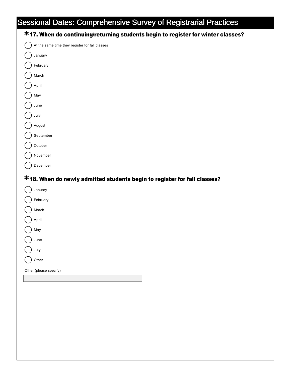| <b>Sessional Dates: Comprehensive Survey of Registrarial Practices</b>           |
|----------------------------------------------------------------------------------|
| *17. When do continuing/returning students begin to register for winter classes? |
| At the same time they register for fall classes                                  |
| January                                                                          |
| February                                                                         |
| March                                                                            |
| April                                                                            |
| May                                                                              |
| June                                                                             |
| July                                                                             |
| August                                                                           |
| September                                                                        |
| October                                                                          |
| November                                                                         |
| December                                                                         |
| *18. When do newly admitted students begin to register for fall classes?         |
| January                                                                          |
| February                                                                         |
| March                                                                            |
| April                                                                            |
| May                                                                              |
| June                                                                             |
| July                                                                             |
| Other                                                                            |
| Other (please specify)                                                           |
|                                                                                  |
|                                                                                  |
|                                                                                  |
|                                                                                  |
|                                                                                  |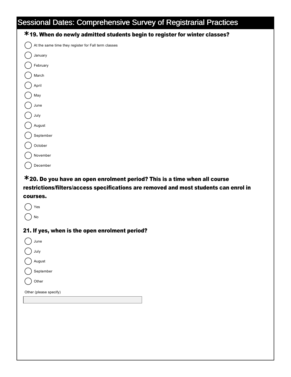| <b>Sessional Dates: Comprehensive Survey of Registrarial Practices</b>       |
|------------------------------------------------------------------------------|
| *19. When do newly admitted students begin to register for winter classes?   |
| At the same time they register for Fall term classes                         |
| January                                                                      |
| February                                                                     |
| March                                                                        |
| April                                                                        |
| May                                                                          |
| June                                                                         |
| July                                                                         |
| August                                                                       |
| September                                                                    |
| October                                                                      |
| November                                                                     |
| December                                                                     |
| $*$ 20. Do you have an open enrolment period? This is a time when all course |

restrictions/filters/access specifications are removed and most students can enrol in courses.

| Yes                                            |
|------------------------------------------------|
| No                                             |
| 21. If yes, when is the open enrolment period? |
| June                                           |
| July                                           |
| August                                         |
| September                                      |
| Other                                          |
| Other (please specify)                         |
|                                                |
|                                                |
|                                                |
|                                                |
|                                                |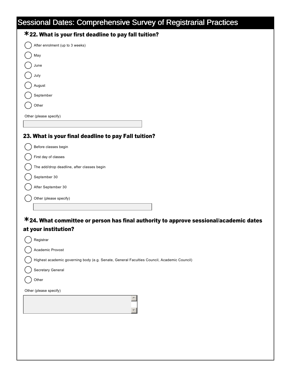| After enrolment (up to 3 weeks)                      |
|------------------------------------------------------|
| May                                                  |
| June                                                 |
| July                                                 |
| August                                               |
| September                                            |
| Other                                                |
|                                                      |
| Other (please specify)                               |
|                                                      |
| 23. What is your final deadline to pay Fall tuition? |
| Before classes begin                                 |
| First day of classes                                 |
| The add/drop deadline, after classes begin           |

After September 30

Other (please specify)

### 24. What committee or person has final authority to approve sessional/academic dates **\*** at your institution?

| Registrar                                                                                  |
|--------------------------------------------------------------------------------------------|
| Academic Provost                                                                           |
| Highest academic governing body (e.g. Senate, General Faculties Council, Academic Council) |
| Secretary General                                                                          |
| Other                                                                                      |
| Other (please specify)                                                                     |
|                                                                                            |
|                                                                                            |
|                                                                                            |
|                                                                                            |
|                                                                                            |
|                                                                                            |
|                                                                                            |